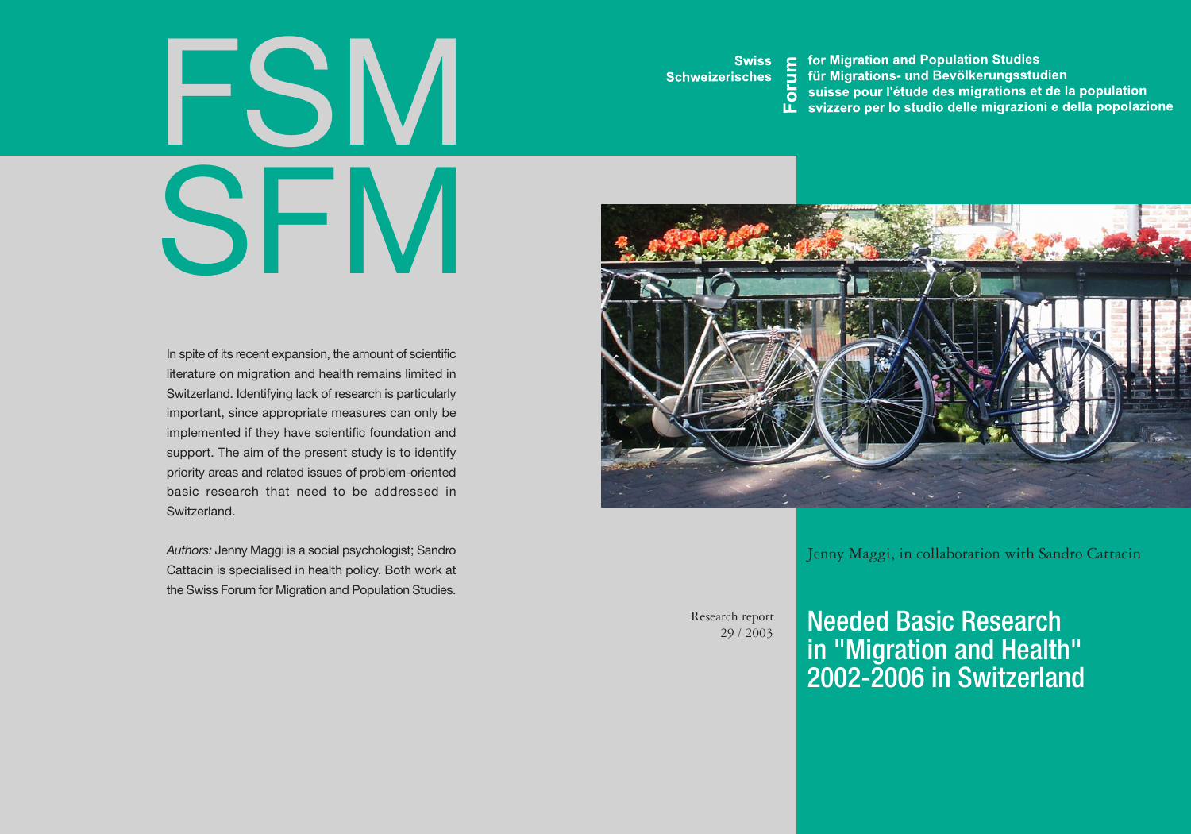# FSI SFM

In spite of its recent expansion, the amount of scientific literature on migration and health remains limited in Switzerland. Identifying lack of research is particularly important, since appropriate measures can only be implemented if they have scientific foundation and support. The aim of the present study is to identify priority areas and related issues of problem-oriented basic research that need to be addressed in **Switzerland** 

*Authors:* Jenny Maggi is a social psychologist; Sandro Cattacin is specialised in health policy. Both work at the Swiss Forum for Migration and Population Studies.

**Swiss Schweizerisches**  for Migration and Population Studies

- 
- E for Migration and Population Studies<br>
The für Migrations- und Bevölkerungsstudien<br>
The suisse pour l'étude des migrations et de la population<br>
Le svizzero per lo studio delle migrazioni e della popolazione



Jenny Maggi, in collaboration with Sandro Cattacin

Research report 29 / 2003 Needed Basic Research in "Migration and Health" 2002-2006 in Switzerland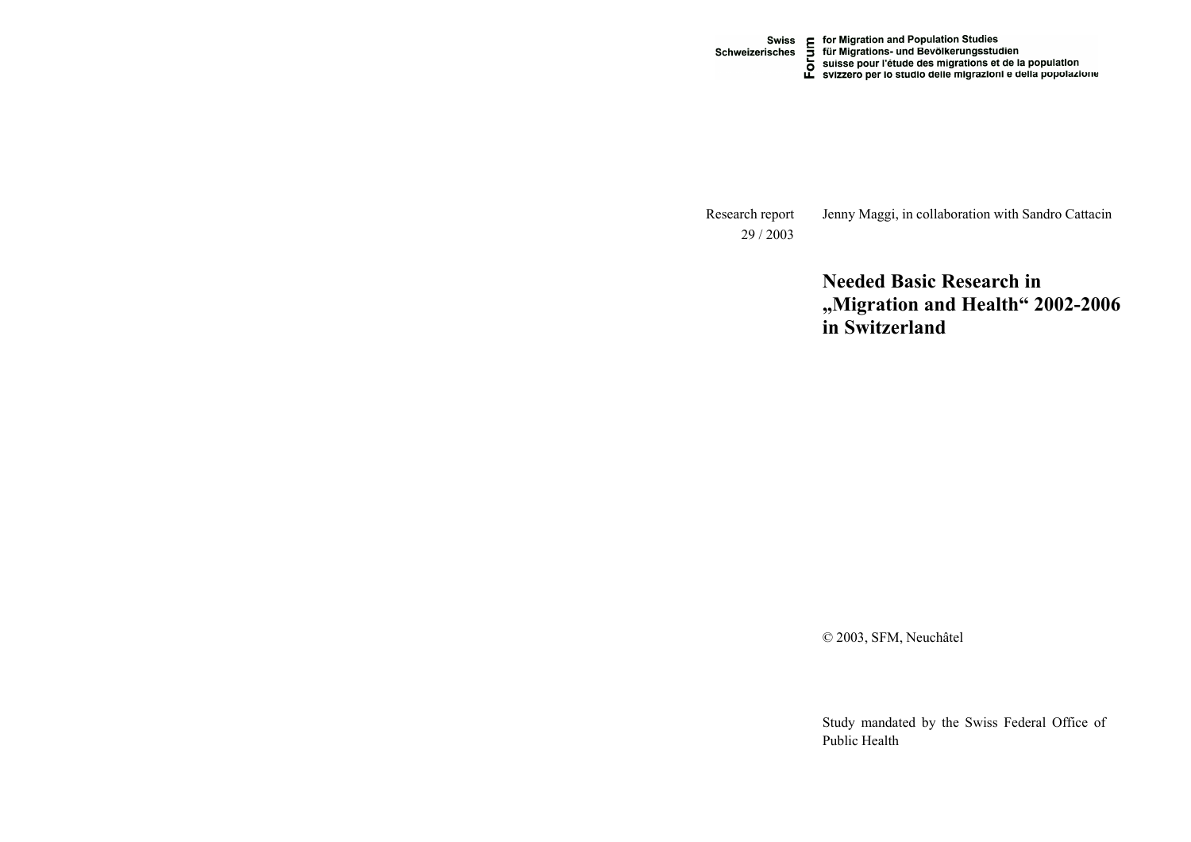Swiss E for Migration and Population Studies<br>Schweizerisches D für Migrations- und Bevölkerungsstudien<br>D suisse pour l'étude des migrations et de la population<br>L svizzero per lo studio delle migrazioni e della popolazione

Jenny Maggi, in collaboration with Sandro Cattacin Research report 29 / 2003

> **Needed Basic Research in Migration and Health 2002-2006 in Switzerland**

© 2003, SFM, Neuchâtel

Study mandated by the Swiss Federal Office of Public Health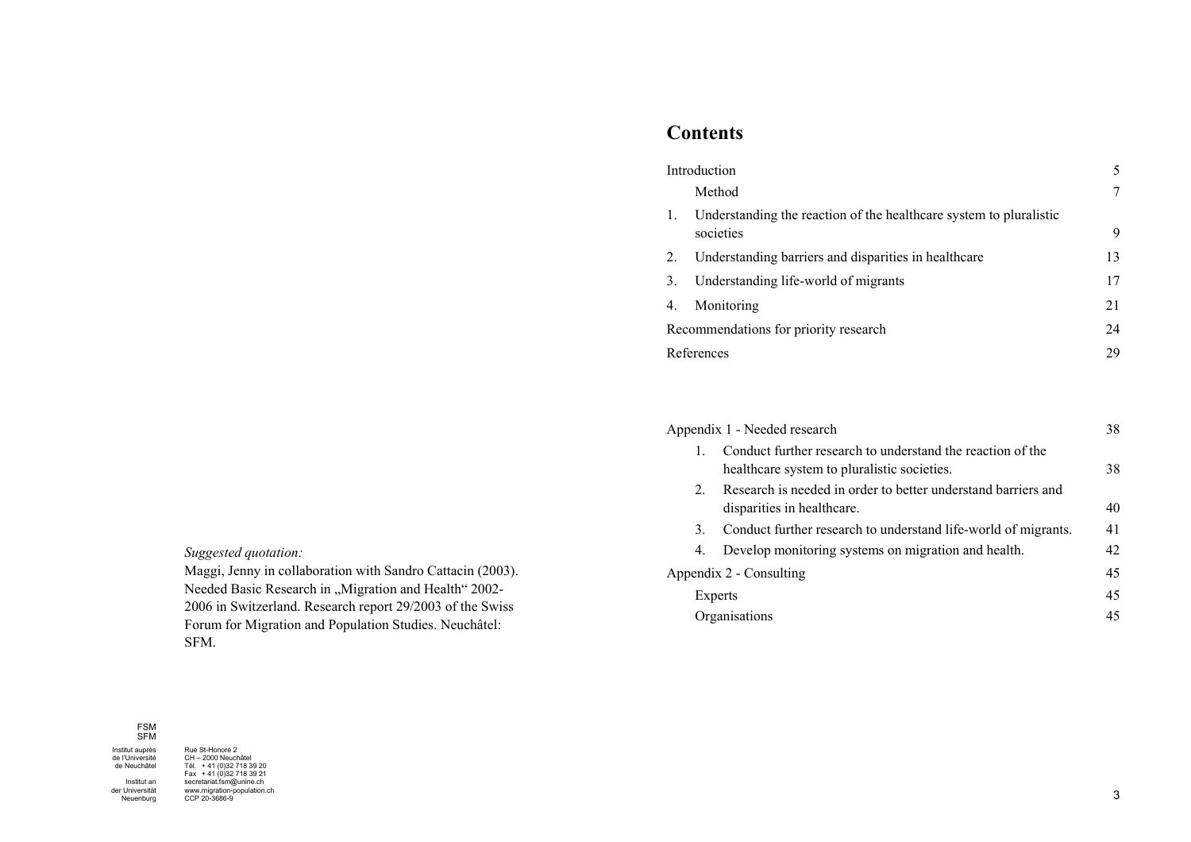## **Contents**

| Introduction                          |                                                                                 | 5  |
|---------------------------------------|---------------------------------------------------------------------------------|----|
|                                       | Method                                                                          |    |
| 1.                                    | Understanding the reaction of the healthcare system to pluralistic<br>societies | 9  |
| 2.                                    | Understanding barriers and disparities in healthcare                            | 13 |
| 3.                                    | Understanding life-world of migrants                                            | 17 |
| 4.                                    | Monitoring                                                                      | 21 |
| Recommendations for priority research |                                                                                 | 24 |
| References                            |                                                                                 | 29 |

| Appendix 1 - Needed research |                                                                                                           |    |
|------------------------------|-----------------------------------------------------------------------------------------------------------|----|
| 1.                           | Conduct further research to understand the reaction of the<br>healthcare system to pluralistic societies. | 38 |
| 2                            | Research is needed in order to better understand barriers and<br>disparities in healthcare.               | 40 |
| 3.                           | Conduct further research to understand life-world of migrants.                                            | 41 |
| 4.                           | Develop monitoring systems on migration and health.                                                       | 42 |
| Appendix 2 - Consulting      |                                                                                                           |    |
|                              | Experts                                                                                                   | 45 |
|                              | Organisations                                                                                             | 45 |

*Suggested quotation:* 

Maggi, Jenny in collaboration with Sandro Cattacin (2003). Needed Basic Research in "Migration and Health" 2002-2006 in Switzerland. Research report 29/2003 of the Swiss Forum for Migration and Population Studies. Neuchâtel: SFM.

### FSMSFM

Institut ander Universität Neuenburg

Institut auprès<br>de l'Université de Neuchâtel

Rue St-Honoré 2 CH 2000 Neuchâtel Tél. + 41 (0)32 718 39 20 Fax + 41 (0)32 718 39 21 secretariat.fsm@unine.ch www.migration-population.ch CCP 20-3686-9

3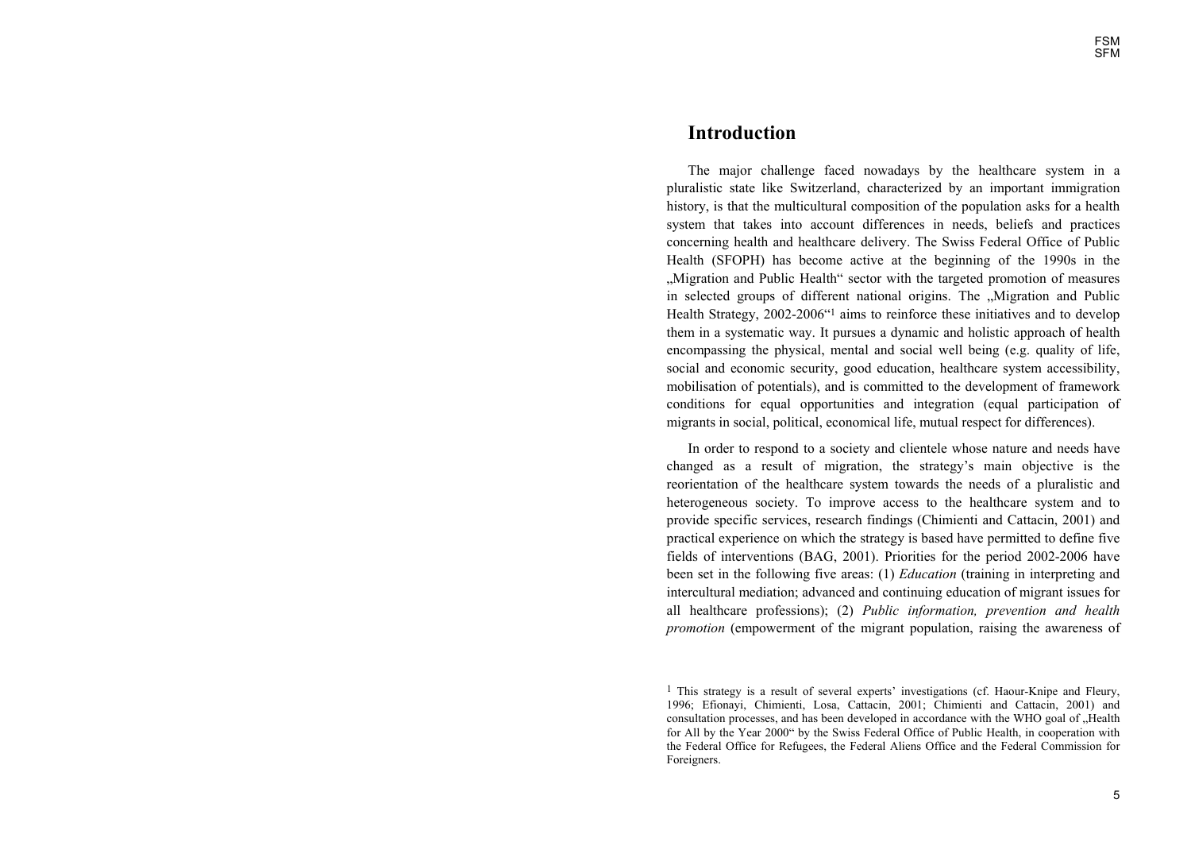### **Introduction**

The major challenge faced nowadays by the healthcare system in a pluralistic state like Switzerland, characterized by an important immigration history, is that the multicultural composition of the population asks for a health system that takes into account differences in needs, beliefs and practices concerning health and healthcare delivery. The Swiss Federal Office of Public Health (SFOPH) has become active at the beginning of the 1990s in the "Migration and Public Health" sector with the targeted promotion of measures in selected groups of different national origins. The "Migration and Public Health Strategy, 2002-2006<sup> $\alpha$ 1</sup> aims to reinforce these initiatives and to develop them in a systematic way. It pursues a dynamic and holistic approach of health encompassing the physical, mental and social well being (e.g. quality of life, social and economic security, good education, healthcare system accessibility, mobilisation of potentials), and is committed to the development of framework conditions for equal opportunities and integration (equal participation of migrants in social, political, economical life, mutual respect for differences).

In order to respond to a society and clientele whose nature and needs have changed as a result of migration, the strategy's main objective is the reorientation of the healthcare system towards the needs of a pluralistic and heterogeneous society. To improve access to the healthcare system and to provide specific services, research findings (Chimienti and Cattacin, 2001) and practical experience on which the strategy is based have permitted to define five fields of interventions (BAG, 2001). Priorities for the period 2002-2006 have been set in the following five areas: (1) *Education* (training in interpreting and intercultural mediation; advanced and continuing education of migrant issues for all healthcare professions); (2) *Public information, prevention and health promotion* (empowerment of the migrant population, raising the awareness of

 $<sup>1</sup>$  This strategy is a result of several experts' investigations (cf. Haour-Knipe and Fleury,</sup> 1996; Efionayi, Chimienti, Losa, Cattacin, 2001; Chimienti and Cattacin, 2001) and consultation processes, and has been developed in accordance with the WHO goal of "Health for All by the Year 2000" by the Swiss Federal Office of Public Health, in cooperation with the Federal Office for Refugees, the Federal Aliens Office and the Federal Commission for Foreigners.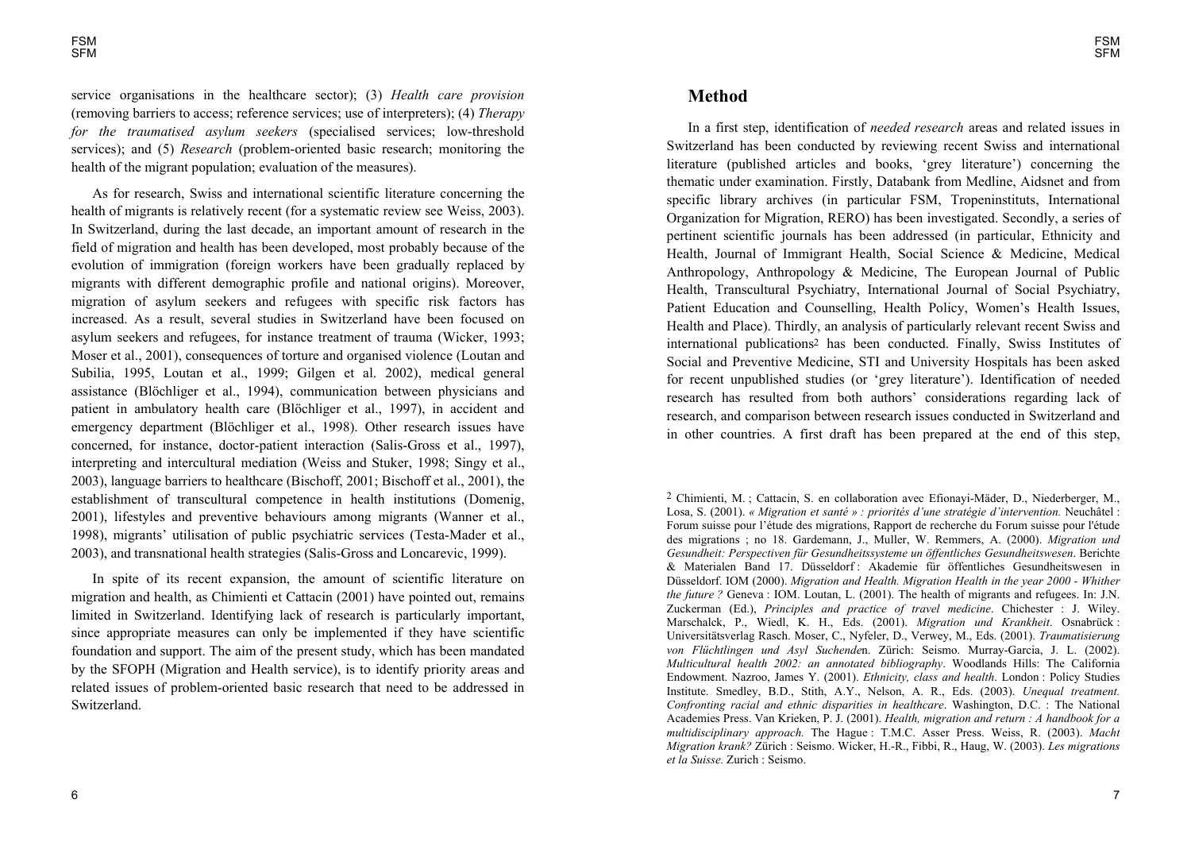service organisations in the healthcare sector); (3) *Health care provision* (removing barriers to access; reference services; use of interpreters); (4) *Therapy for the traumatised asylum seekers* (specialised services; low-threshold services); and (5) *Research* (problem-oriented basic research; monitoring the health of the migrant population; evaluation of the measures).

As for research, Swiss and international scientific literature concerning the health of migrants is relatively recent (for a systematic review see Weiss, 2003). In Switzerland, during the last decade, an important amount of research in the field of migration and health has been developed, most probably because of the evolution of immigration (foreign workers have been gradually replaced by migrants with different demographic profile and national origins). Moreover, migration of asylum seekers and refugees with specific risk factors has increased. As a result, several studies in Switzerland have been focused on asylum seekers and refugees, for instance treatment of trauma (Wicker, 1993; Moser et al., 2001), consequences of torture and organised violence (Loutan and Subilia, 1995, Loutan et al., 1999; Gilgen et al. 2002), medical general assistance (Blöchliger et al., 1994), communication between physicians and patient in ambulatory health care (Blöchliger et al., 1997), in accident and emergency department (Blöchliger et al., 1998). Other research issues have concerned, for instance, doctor-patient interaction (Salis-Gross et al., 1997), interpreting and intercultural mediation (Weiss and Stuker, 1998; Singy et al., 2003), language barriers to healthcare (Bischoff, 2001; Bischoff et al., 2001), the establishment of transcultural competence in health institutions (Domenig, 2001), lifestyles and preventive behaviours among migrants (Wanner et al., 1998), migrants' utilisation of public psychiatric services (Testa-Mader et al., 2003), and transnational health strategies (Salis-Gross and Loncarevic, 1999).

In spite of its recent expansion, the amount of scientific literature on migration and health, as Chimienti et Cattacin (2001) have pointed out, remains limited in Switzerland. Identifying lack of research is particularly important, since appropriate measures can only be implemented if they have scientific foundation and support. The aim of the present study, which has been mandated by the SFOPH (Migration and Health service), is to identify priority areas and related issues of problem-oriented basic research that need to be addressed in Switzerland.

### **Method**

In a first step, identification of *needed research* areas and related issues in Switzerland has been conducted by reviewing recent Swiss and international literature (published articles and books, 'grey literature') concerning the thematic under examination. Firstly, Databank from Medline, Aidsnet and from specific library archives (in particular FSM, Tropeninstituts, International Organization for Migration, RERO) has been investigated. Secondly, a series of pertinent scientific journals has been addressed (in particular, Ethnicity and Health, Journal of Immigrant Health, Social Science & Medicine, Medical Anthropology, Anthropology & Medicine, The European Journal of Public Health, Transcultural Psychiatry, International Journal of Social Psychiatry, Patient Education and Counselling, Health Policy, Women's Health Issues, Health and Place). Thirdly, an analysis of particularly relevant recent Swiss and international publications2 has been conducted. Finally, Swiss Institutes of Social and Preventive Medicine, STI and University Hospitals has been asked for recent unpublished studies (or 'grey literature'). Identification of needed research has resulted from both authors' considerations regarding lack of research, and comparison between research issues conducted in Switzerland and in other countries. A first draft has been prepared at the end of this step,

2 Chimienti, M. ; Cattacin, S. en collaboration avec Efionayi-Mäder, D., Niederberger, M., Losa, S. (2001). *« Migration et santé » : priorités dune stratégie dintervention.* Neuchâtel : Forum suisse pour létude des migrations, Rapport de recherche du Forum suisse pour l'étude des migrations ; no 18. Gardemann, J., Muller, W. Remmers, A. (2000). *Migration und Gesundheit: Perspectiven für Gesundheitssysteme un öffentliches Gesundheitswesen*. Berichte & Materialen Band 17. Düsseldorf : Akademie für öffentliches Gesundheitswesen in Düsseldorf. IOM (2000). *Migration and Health. Migration Health in the year 2000 - Whither the future ?* Geneva : IOM. Loutan, L. (2001). The health of migrants and refugees. In: J.N. Zuckerman (Ed.), *Principles and practice of travel medicine*. Chichester : J. Wiley. Marschalck, P., Wiedl, K. H., Eds. (2001). *Migration und Krankheit*. Osnabrück : Universitätsverlag Rasch. Moser, C., Nyfeler, D., Verwey, M., Eds. (2001). *Traumatisierung von Flüchtlingen und Asyl Suchende*n. Zürich: Seismo. Murray-Garcia, J. L. (2002). *Multicultural health 2002: an annotated bibliography*. Woodlands Hills: The California Endowment. Nazroo, James Y. (2001). *Ethnicity, class and health*. London : Policy Studies Institute. Smedley, B.D., Stith, A.Y., Nelson, A. R., Eds. (2003). *Unequal treatment. Confronting racial and ethnic disparities in healthcare*. Washington, D.C. : The National Academies Press. Van Krieken, P. J. (2001). *Health, migration and return : A handbook for a multidisciplinary approach.* The Hague : T.M.C. Asser Press. Weiss, R. (2003). *Macht Migration krank?* Zürich : Seismo. Wicker, H.-R., Fibbi, R., Haug, W. (2003). *Les migrations et la Suisse.* Zurich : Seismo.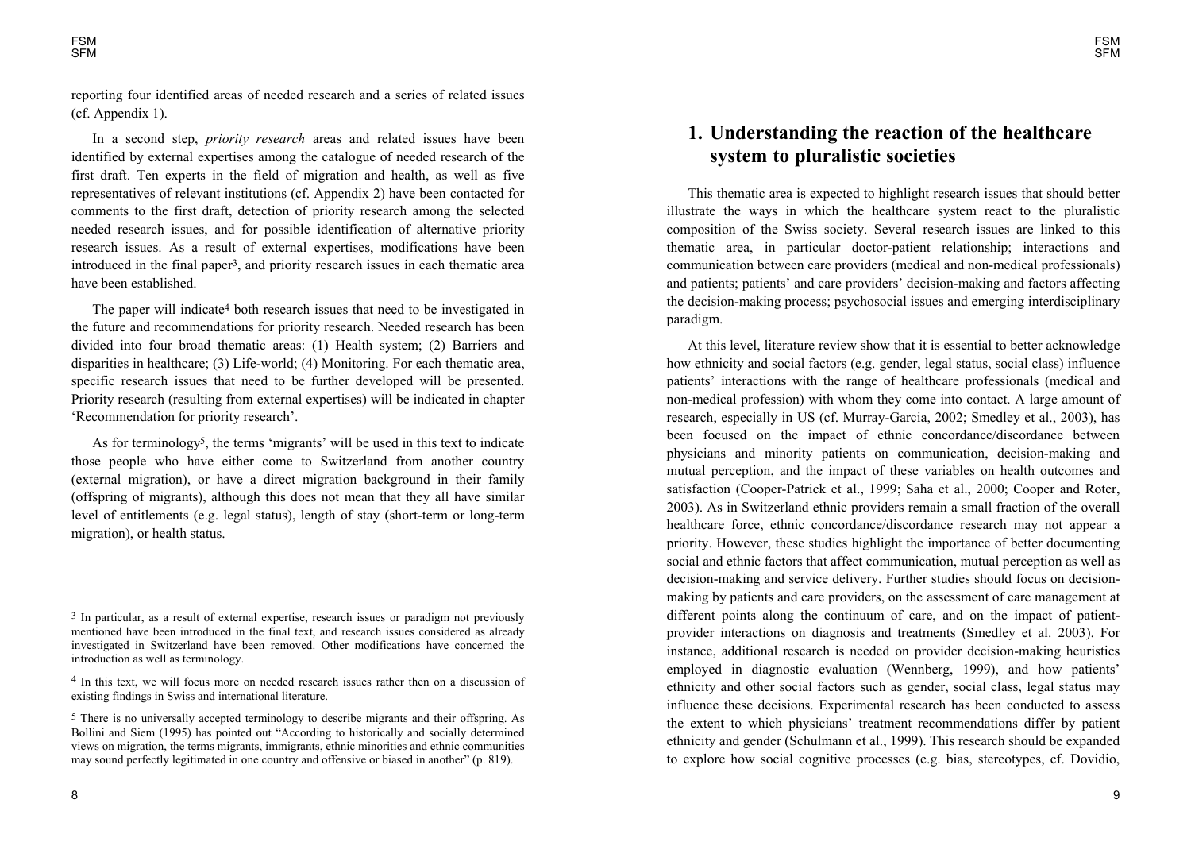reporting four identified areas of needed research and a series of related issues (cf. Appendix 1).

In a second step, *priority research* areas and related issues have been identified by external expertises among the catalogue of needed research of the first draft. Ten experts in the field of migration and health, as well as five representatives of relevant institutions (cf. Appendix 2) have been contacted for comments to the first draft, detection of priority research among the selected needed research issues, and for possible identification of alternative priority research issues. As a result of external expertises, modifications have been introduced in the final paper3, and priority research issues in each thematic area have been established.

The paper will indicate<sup>4</sup> both research issues that need to be investigated in the future and recommendations for priority research. Needed research has been divided into four broad thematic areas: (1) Health system; (2) Barriers and disparities in healthcare; (3) Life-world; (4) Monitoring. For each thematic area, specific research issues that need to be further developed will be presented. Priority research (resulting from external expertises) will be indicated in chapter 'Recommendation for priority research'.

As for terminology<sup>5</sup>, the terms 'migrants' will be used in this text to indicate those people who have either come to Switzerland from another country (external migration), or have a direct migration background in their family (offspring of migrants), although this does not mean that they all have similar level of entitlements (e.g. legal status), length of stay (short-term or long-term migration), or health status.

<sup>3</sup> In particular, as a result of external expertise, research issues or paradigm not previously mentioned have been introduced in the final text, and research issues considered as already investigated in Switzerland have been removed. Other modifications have concerned the introduction as well as terminology.

4 In this text, we will focus more on needed research issues rather then on a discussion of existing findings in Swiss and international literature.

5 There is no universally accepted terminology to describe migrants and their offspring. As Bollini and Siem (1995) has pointed out "According to historically and socially determined views on migration, the terms migrants, immigrants, ethnic minorities and ethnic communities may sound perfectly legitimated in one country and offensive or biased in another" (p. 819).

# **1. Understanding the reaction of the healthcare system to pluralistic societies**

This thematic area is expected to highlight research issues that should better illustrate the ways in which the healthcare system react to the pluralistic composition of the Swiss society. Several research issues are linked to this thematic area, in particular doctor-patient relationship; interactions and communication between care providers (medical and non-medical professionals) and patients; patients' and care providers' decision-making and factors affecting the decision-making process; psychosocial issues and emerging interdisciplinary paradigm.

At this level, literature review show that it is essential to better acknowledge how ethnicity and social factors (e.g. gender, legal status, social class) influence patients' interactions with the range of healthcare professionals (medical and non-medical profession) with whom they come into contact. A large amount of research, especially in US (cf. Murray-Garcia, 2002; Smedley et al., 2003), has been focused on the impact of ethnic concordance/discordance between physicians and minority patients on communication, decision-making and mutual perception, and the impact of these variables on health outcomes and satisfaction (Cooper-Patrick et al., 1999; Saha et al., 2000; Cooper and Roter, 2003). As in Switzerland ethnic providers remain a small fraction of the overall healthcare force, ethnic concordance/discordance research may not appear a priority. However, these studies highlight the importance of better documenting social and ethnic factors that affect communication, mutual perception as well as decision-making and service delivery. Further studies should focus on decisionmaking by patients and care providers, on the assessment of care management at different points along the continuum of care, and on the impact of patientprovider interactions on diagnosis and treatments (Smedley et al. 2003). For instance, additional research is needed on provider decision-making heuristics employed in diagnostic evaluation (Wennberg, 1999), and how patients' ethnicity and other social factors such as gender, social class, legal status may influence these decisions. Experimental research has been conducted to assess the extent to which physicians' treatment recommendations differ by patient ethnicity and gender (Schulmann et al., 1999). This research should be expanded to explore how social cognitive processes (e.g. bias, stereotypes, cf. Dovidio,

8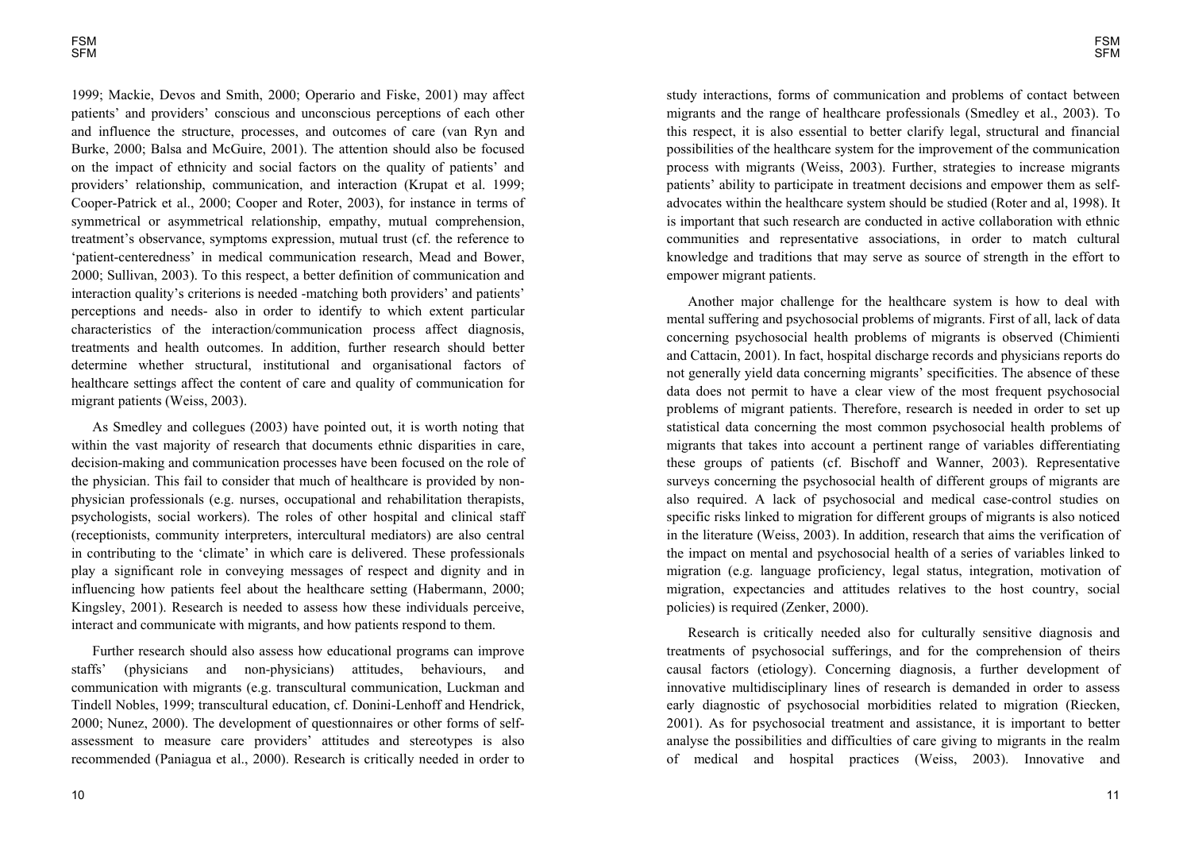1999; Mackie, Devos and Smith, 2000; Operario and Fiske, 2001) may affect patients' and providers' conscious and unconscious perceptions of each other and influence the structure, processes, and outcomes of care (van Ryn and Burke, 2000; Balsa and McGuire, 2001). The attention should also be focused on the impact of ethnicity and social factors on the quality of patients' and providers' relationship, communication, and interaction (Krupat et al. 1999; Cooper-Patrick et al., 2000; Cooper and Roter, 2003), for instance in terms of symmetrical or asymmetrical relationship, empathy, mutual comprehension, treatment's observance, symptoms expression, mutual trust (cf. the reference to 'patient-centeredness' in medical communication research, Mead and Bower, 2000; Sullivan, 2003). To this respect, a better definition of communication and interaction quality's criterions is needed -matching both providers' and patients' perceptions and needs- also in order to identify to which extent particular characteristics of the interaction/communication process affect diagnosis, treatments and health outcomes. In addition, further research should better determine whether structural, institutional and organisational factors of healthcare settings affect the content of care and quality of communication for migrant patients (Weiss, 2003).

As Smedley and collegues (2003) have pointed out, it is worth noting that within the vast majority of research that documents ethnic disparities in care, decision-making and communication processes have been focused on the role of the physician. This fail to consider that much of healthcare is provided by nonphysician professionals (e.g. nurses, occupational and rehabilitation therapists, psychologists, social workers). The roles of other hospital and clinical staff (receptionists, community interpreters, intercultural mediators) are also central in contributing to the 'climate' in which care is delivered. These professionals play a significant role in conveying messages of respect and dignity and in influencing how patients feel about the healthcare setting (Habermann, 2000; Kingsley, 2001). Research is needed to assess how these individuals perceive, interact and communicate with migrants, and how patients respond to them.

Further research should also assess how educational programs can improve staffs' (physicians and non-physicians) attitudes, behaviours, and communication with migrants (e.g. transcultural communication, Luckman and Tindell Nobles, 1999; transcultural education, cf. Donini-Lenhoff and Hendrick, 2000; Nunez, 2000). The development of questionnaires or other forms of selfassessment to measure care providers' attitudes and stereotypes is also recommended (Paniagua et al., 2000). Research is critically needed in order to

study interactions, forms of communication and problems of contact between migrants and the range of healthcare professionals (Smedley et al., 2003). To this respect, it is also essential to better clarify legal, structural and financial possibilities of the healthcare system for the improvement of the communication process with migrants (Weiss, 2003). Further, strategies to increase migrants patients' ability to participate in treatment decisions and empower them as selfadvocates within the healthcare system should be studied (Roter and al, 1998). It is important that such research are conducted in active collaboration with ethnic communities and representative associations, in order to match cultural knowledge and traditions that may serve as source of strength in the effort to empower migrant patients.

Another major challenge for the healthcare system is how to deal with mental suffering and psychosocial problems of migrants. First of all, lack of data concerning psychosocial health problems of migrants is observed (Chimienti and Cattacin, 2001). In fact, hospital discharge records and physicians reports do not generally yield data concerning migrants' specificities. The absence of these data does not permit to have a clear view of the most frequent psychosocial problems of migrant patients. Therefore, research is needed in order to set up statistical data concerning the most common psychosocial health problems of migrants that takes into account a pertinent range of variables differentiating these groups of patients (cf. Bischoff and Wanner, 2003). Representative surveys concerning the psychosocial health of different groups of migrants are also required. A lack of psychosocial and medical case-control studies on specific risks linked to migration for different groups of migrants is also noticed in the literature (Weiss, 2003). In addition, research that aims the verification of the impact on mental and psychosocial health of a series of variables linked to migration (e.g. language proficiency, legal status, integration, motivation of migration, expectancies and attitudes relatives to the host country, social policies) is required (Zenker, 2000).

Research is critically needed also for culturally sensitive diagnosis and treatments of psychosocial sufferings, and for the comprehension of theirs causal factors (etiology). Concerning diagnosis, a further development of innovative multidisciplinary lines of research is demanded in order to assess early diagnostic of psychosocial morbidities related to migration (Riecken, 2001). As for psychosocial treatment and assistance, it is important to better analyse the possibilities and difficulties of care giving to migrants in the realm of medical and hospital practices (Weiss, 2003). Innovative and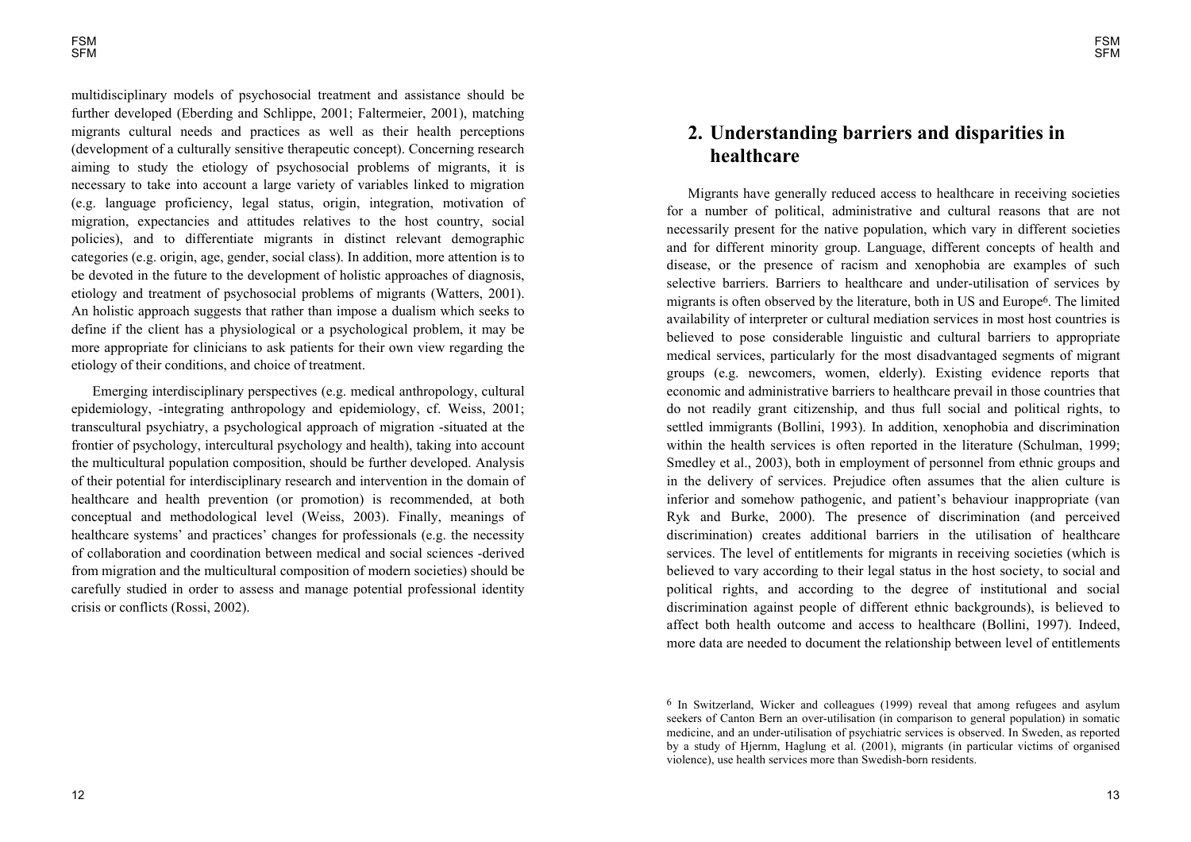multidisciplinary models of psychosocial treatment and assistance should be further developed (Eberding and Schlippe, 2001; Faltermeier, 2001), matching migrants cultural needs and practices as well as their health perceptions (development of a culturally sensitive therapeutic concept). Concerning research aiming to study the etiology of psychosocial problems of migrants, it is necessary to take into account a large variety of variables linked to migration (e.g. language proficiency, legal status, origin, integration, motivation of migration, expectancies and attitudes relatives to the host country, social policies), and to differentiate migrants in distinct relevant demographic categories (e.g. origin, age, gender, social class). In addition, more attention is to be devoted in the future to the development of holistic approaches of diagnosis, etiology and treatment of psychosocial problems of migrants (Watters, 2001). An holistic approach suggests that rather than impose a dualism which seeks to define if the client has a physiological or a psychological problem, it may be more appropriate for clinicians to ask patients for their own view regarding the etiology of their conditions, and choice of treatment.

Emerging interdisciplinary perspectives (e.g. medical anthropology, cultural epidemiology, -integrating anthropology and epidemiology, cf. Weiss, 2001; transcultural psychiatry, a psychological approach of migration -situated at the frontier of psychology, intercultural psychology and health), taking into account the multicultural population composition, should be further developed. Analysis of their potential for interdisciplinary research and intervention in the domain of healthcare and health prevention (or promotion) is recommended, at both conceptual and methodological level (Weiss, 2003). Finally, meanings of healthcare systems' and practices' changes for professionals (e.g. the necessity of collaboration and coordination between medical and social sciences -derived from migration and the multicultural composition of modern societies) should be carefully studied in order to assess and manage potential professional identity crisis or conflicts (Rossi, 2002).

# **2. Understanding barriers and disparities in healthcare**

Migrants have generally reduced access to healthcare in receiving societies for a number of political, administrative and cultural reasons that are not necessarily present for the native population, which vary in different societies and for different minority group. Language, different concepts of health and disease, or the presence of racism and xenophobia are examples of such selective barriers. Barriers to healthcare and under-utilisation of services by migrants is often observed by the literature, both in US and Europe6. The limited availability of interpreter or cultural mediation services in most host countries is believed to pose considerable linguistic and cultural barriers to appropriate medical services, particularly for the most disadvantaged segments of migrant groups (e.g. newcomers, women, elderly). Existing evidence reports that economic and administrative barriers to healthcare prevail in those countries that do not readily grant citizenship, and thus full social and political rights, to settled immigrants (Bollini, 1993). In addition, xenophobia and discrimination within the health services is often reported in the literature (Schulman, 1999; Smedley et al., 2003), both in employment of personnel from ethnic groups and in the delivery of services. Prejudice often assumes that the alien culture is inferior and somehow pathogenic, and patient's behaviour inappropriate (van Ryk and Burke, 2000). The presence of discrimination (and perceived discrimination) creates additional barriers in the utilisation of healthcare services. The level of entitlements for migrants in receiving societies (which is believed to vary according to their legal status in the host society, to social and political rights, and according to the degree of institutional and social discrimination against people of different ethnic backgrounds), is believed to affect both health outcome and access to healthcare (Bollini, 1997). Indeed, more data are needed to document the relationship between level of entitlements

<sup>6</sup> In Switzerland, Wicker and colleagues (1999) reveal that among refugees and asylum seekers of Canton Bern an over-utilisation (in comparison to general population) in somatic medicine, and an under-utilisation of psychiatric services is observed. In Sweden, as reported by a study of Hjernm, Haglung et al. (2001), migrants (in particular victims of organised violence), use health services more than Swedish-born residents.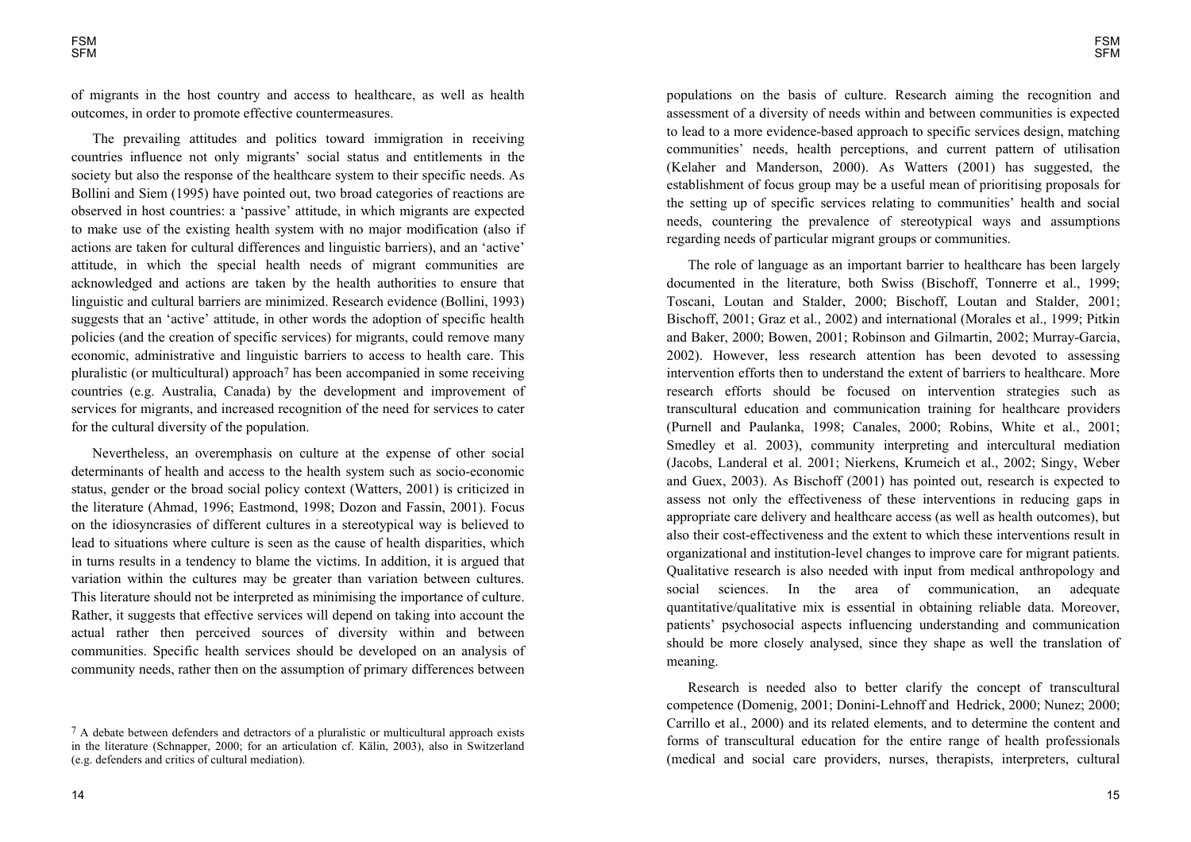of migrants in the host country and access to healthcare, as well as health outcomes, in order to promote effective countermeasures.

The prevailing attitudes and politics toward immigration in receiving countries influence not only migrants' social status and entitlements in the society but also the response of the healthcare system to their specific needs. As Bollini and Siem (1995) have pointed out, two broad categories of reactions are observed in host countries: a 'passive' attitude, in which migrants are expected to make use of the existing health system with no major modification (also if actions are taken for cultural differences and linguistic barriers), and an 'active' attitude, in which the special health needs of migrant communities are acknowledged and actions are taken by the health authorities to ensure that linguistic and cultural barriers are minimized. Research evidence (Bollini, 1993) suggests that an 'active' attitude, in other words the adoption of specific health policies (and the creation of specific services) for migrants, could remove many economic, administrative and linguistic barriers to access to health care. This pluralistic (or multicultural) approach7 has been accompanied in some receiving countries (e.g. Australia, Canada) by the development and improvement of services for migrants, and increased recognition of the need for services to cater for the cultural diversity of the population.

Nevertheless, an overemphasis on culture at the expense of other social determinants of health and access to the health system such as socio-economic status, gender or the broad social policy context (Watters, 2001) is criticized in the literature (Ahmad, 1996; Eastmond, 1998; Dozon and Fassin, 2001). Focus on the idiosyncrasies of different cultures in a stereotypical way is believed to lead to situations where culture is seen as the cause of health disparities, which in turns results in a tendency to blame the victims. In addition, it is argued that variation within the cultures may be greater than variation between cultures. This literature should not be interpreted as minimising the importance of culture. Rather, it suggests that effective services will depend on taking into account the actual rather then perceived sources of diversity within and between communities. Specific health services should be developed on an analysis of community needs, rather then on the assumption of primary differences between

14

populations on the basis of culture. Research aiming the recognition and assessment of a diversity of needs within and between communities is expected to lead to a more evidence-based approach to specific services design, matching communities' needs, health perceptions, and current pattern of utilisation (Kelaher and Manderson, 2000). As Watters (2001) has suggested, the establishment of focus group may be a useful mean of prioritising proposals for the setting up of specific services relating to communities' health and social needs, countering the prevalence of stereotypical ways and assumptions regarding needs of particular migrant groups or communities.

The role of language as an important barrier to healthcare has been largely documented in the literature, both Swiss (Bischoff, Tonnerre et al., 1999; Toscani, Loutan and Stalder, 2000; Bischoff, Loutan and Stalder, 2001; Bischoff, 2001; Graz et al., 2002) and international (Morales et al., 1999; Pitkin and Baker, 2000; Bowen, 2001; Robinson and Gilmartin, 2002; Murray-Garcia, 2002). However, less research attention has been devoted to assessing intervention efforts then to understand the extent of barriers to healthcare. More research efforts should be focused on intervention strategies such as transcultural education and communication training for healthcare providers (Purnell and Paulanka, 1998; Canales, 2000; Robins, White et al., 2001; Smedley et al. 2003), community interpreting and intercultural mediation (Jacobs, Landeral et al. 2001; Nierkens, Krumeich et al., 2002; Singy, Weber and Guex, 2003). As Bischoff (2001) has pointed out, research is expected to assess not only the effectiveness of these interventions in reducing gaps in appropriate care delivery and healthcare access (as well as health outcomes), but also their cost-effectiveness and the extent to which these interventions result in organizational and institution-level changes to improve care for migrant patients. Qualitative research is also needed with input from medical anthropology and social sciences. In the area of communication, an adequate quantitative/qualitative mix is essential in obtaining reliable data. Moreover, patients' psychosocial aspects influencing understanding and communication should be more closely analysed, since they shape as well the translation of meaning.

Research is needed also to better clarify the concept of transcultural competence (Domenig, 2001; Donini-Lehnoff and Hedrick, 2000; Nunez; 2000; Carrillo et al., 2000) and its related elements, and to determine the content and forms of transcultural education for the entire range of health professionals (medical and social care providers, nurses, therapists, interpreters, cultural

<sup>7</sup> A debate between defenders and detractors of a pluralistic or multicultural approach exists in the literature (Schnapper, 2000; for an articulation cf. Kälin, 2003), also in Switzerland (e.g. defenders and critics of cultural mediation).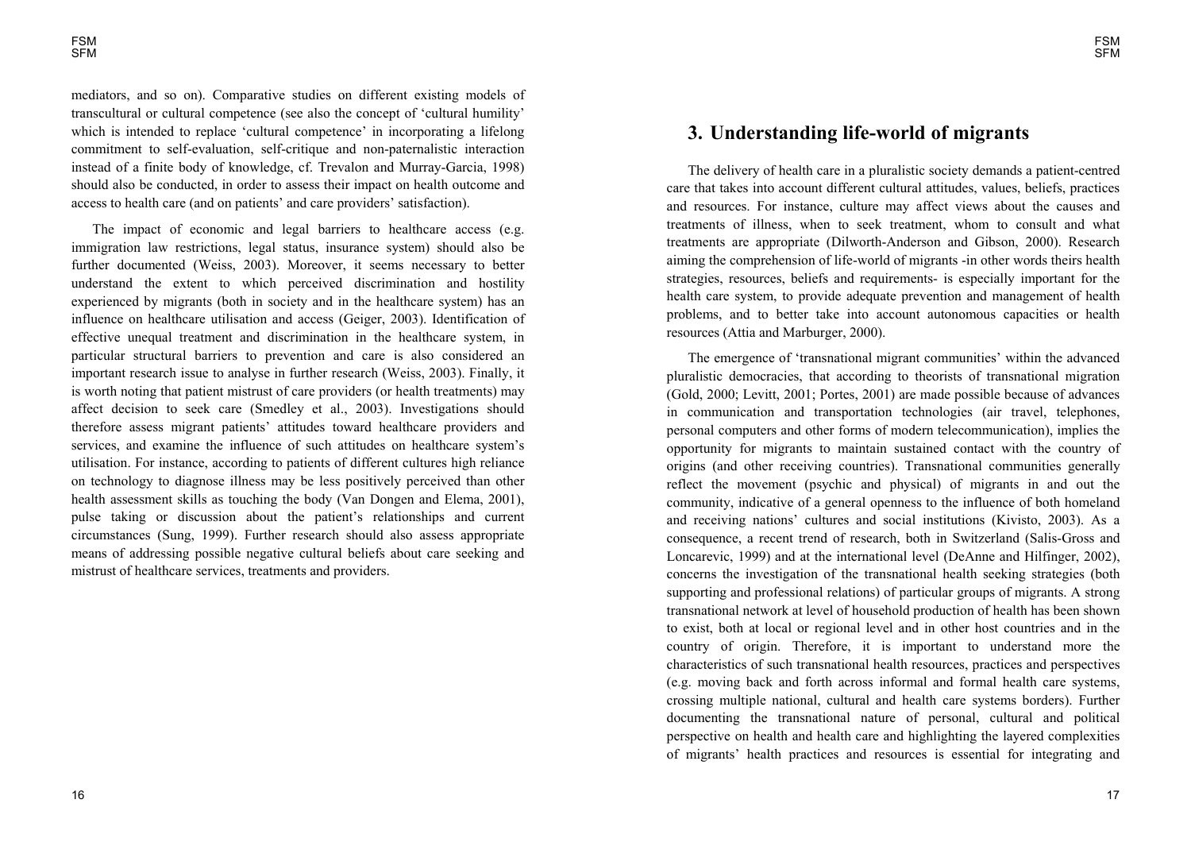mediators, and so on). Comparative studies on different existing models of transcultural or cultural competence (see also the concept of 'cultural humility' which is intended to replace 'cultural competence' in incorporating a lifelong commitment to self-evaluation, self-critique and non-paternalistic interaction instead of a finite body of knowledge, cf. Trevalon and Murray-Garcia, 1998) should also be conducted, in order to assess their impact on health outcome and access to health care (and on patients' and care providers' satisfaction).

The impact of economic and legal barriers to healthcare access (e.g. immigration law restrictions, legal status, insurance system) should also be further documented (Weiss, 2003). Moreover, it seems necessary to better understand the extent to which perceived discrimination and hostility experienced by migrants (both in society and in the healthcare system) has an influence on healthcare utilisation and access (Geiger, 2003). Identification of effective unequal treatment and discrimination in the healthcare system, in particular structural barriers to prevention and care is also considered an important research issue to analyse in further research (Weiss, 2003). Finally, it is worth noting that patient mistrust of care providers (or health treatments) may affect decision to seek care (Smedley et al., 2003). Investigations should therefore assess migrant patients' attitudes toward healthcare providers and services, and examine the influence of such attitudes on healthcare system's utilisation. For instance, according to patients of different cultures high reliance on technology to diagnose illness may be less positively perceived than other health assessment skills as touching the body (Van Dongen and Elema, 2001), pulse taking or discussion about the patient's relationships and current circumstances (Sung, 1999). Further research should also assess appropriate means of addressing possible negative cultural beliefs about care seeking and mistrust of healthcare services, treatments and providers.

# **3. Understanding life-world of migrants**

The delivery of health care in a pluralistic society demands a patient-centred care that takes into account different cultural attitudes, values, beliefs, practices and resources. For instance, culture may affect views about the causes and treatments of illness, when to seek treatment, whom to consult and what treatments are appropriate (Dilworth-Anderson and Gibson, 2000). Research aiming the comprehension of life-world of migrants -in other words theirs health strategies, resources, beliefs and requirements- is especially important for the health care system, to provide adequate prevention and management of health problems, and to better take into account autonomous capacities or health resources (Attia and Marburger, 2000).

The emergence of 'transnational migrant communities' within the advanced pluralistic democracies, that according to theorists of transnational migration (Gold, 2000; Levitt, 2001; Portes, 2001) are made possible because of advances in communication and transportation technologies (air travel, telephones, personal computers and other forms of modern telecommunication), implies the opportunity for migrants to maintain sustained contact with the country of origins (and other receiving countries). Transnational communities generally reflect the movement (psychic and physical) of migrants in and out the community, indicative of a general openness to the influence of both homeland and receiving nations' cultures and social institutions (Kivisto, 2003). As a consequence, a recent trend of research, both in Switzerland (Salis-Gross and Loncarevic, 1999) and at the international level (DeAnne and Hilfinger, 2002), concerns the investigation of the transnational health seeking strategies (both supporting and professional relations) of particular groups of migrants. A strong transnational network at level of household production of health has been shown to exist, both at local or regional level and in other host countries and in the country of origin. Therefore, it is important to understand more the characteristics of such transnational health resources, practices and perspectives (e.g. moving back and forth across informal and formal health care systems, crossing multiple national, cultural and health care systems borders). Further documenting the transnational nature of personal, cultural and political perspective on health and health care and highlighting the layered complexities of migrants' health practices and resources is essential for integrating and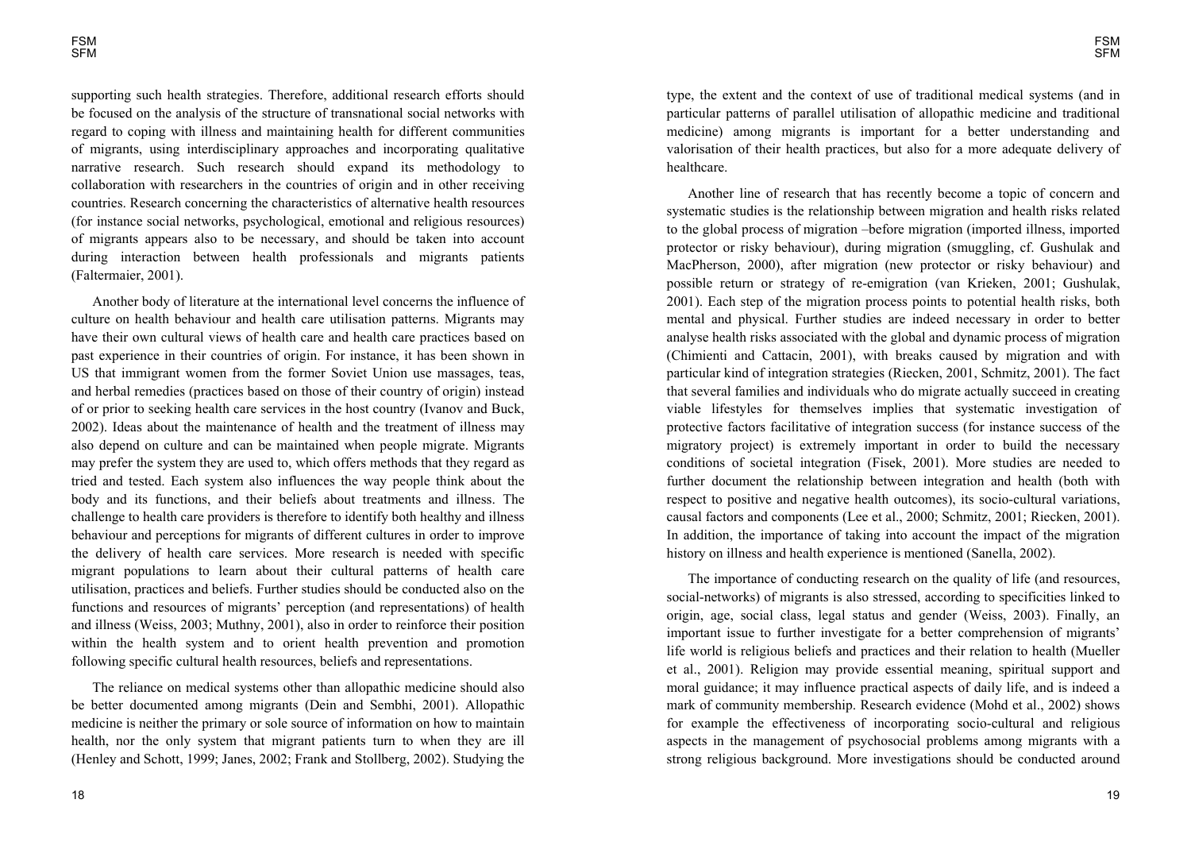supporting such health strategies. Therefore, additional research efforts should be focused on the analysis of the structure of transnational social networks with regard to coping with illness and maintaining health for different communities of migrants, using interdisciplinary approaches and incorporating qualitative narrative research. Such research should expand its methodology to collaboration with researchers in the countries of origin and in other receiving countries. Research concerning the characteristics of alternative health resources (for instance social networks, psychological, emotional and religious resources) of migrants appears also to be necessary, and should be taken into account during interaction between health professionals and migrants patients (Faltermaier, 2001).

Another body of literature at the international level concerns the influence of culture on health behaviour and health care utilisation patterns. Migrants may have their own cultural views of health care and health care practices based on past experience in their countries of origin. For instance, it has been shown in US that immigrant women from the former Soviet Union use massages, teas, and herbal remedies (practices based on those of their country of origin) instead of or prior to seeking health care services in the host country (Ivanov and Buck, 2002). Ideas about the maintenance of health and the treatment of illness may also depend on culture and can be maintained when people migrate. Migrants may prefer the system they are used to, which offers methods that they regard as tried and tested. Each system also influences the way people think about the body and its functions, and their beliefs about treatments and illness. The challenge to health care providers is therefore to identify both healthy and illness behaviour and perceptions for migrants of different cultures in order to improve the delivery of health care services. More research is needed with specific migrant populations to learn about their cultural patterns of health care utilisation, practices and beliefs. Further studies should be conducted also on the functions and resources of migrants' perception (and representations) of health and illness (Weiss, 2003; Muthny, 2001), also in order to reinforce their position within the health system and to orient health prevention and promotion following specific cultural health resources, beliefs and representations.

The reliance on medical systems other than allopathic medicine should also be better documented among migrants (Dein and Sembhi, 2001). Allopathic medicine is neither the primary or sole source of information on how to maintain health, nor the only system that migrant patients turn to when they are ill (Henley and Schott, 1999; Janes, 2002; Frank and Stollberg, 2002). Studying the type, the extent and the context of use of traditional medical systems (and in particular patterns of parallel utilisation of allopathic medicine and traditional medicine) among migrants is important for a better understanding and valorisation of their health practices, but also for a more adequate delivery of healthcare.

Another line of research that has recently become a topic of concern and systematic studies is the relationship between migration and health risks related to the global process of migration before migration (imported illness, imported protector or risky behaviour), during migration (smuggling, cf. Gushulak and MacPherson, 2000), after migration (new protector or risky behaviour) and possible return or strategy of re-emigration (van Krieken, 2001; Gushulak, 2001). Each step of the migration process points to potential health risks, both mental and physical. Further studies are indeed necessary in order to better analyse health risks associated with the global and dynamic process of migration (Chimienti and Cattacin, 2001), with breaks caused by migration and with particular kind of integration strategies (Riecken, 2001, Schmitz, 2001). The fact that several families and individuals who do migrate actually succeed in creating viable lifestyles for themselves implies that systematic investigation of protective factors facilitative of integration success (for instance success of the migratory project) is extremely important in order to build the necessary conditions of societal integration (Fisek, 2001). More studies are needed to further document the relationship between integration and health (both with respect to positive and negative health outcomes), its socio-cultural variations, causal factors and components (Lee et al., 2000; Schmitz, 2001; Riecken, 2001). In addition, the importance of taking into account the impact of the migration history on illness and health experience is mentioned (Sanella, 2002).

The importance of conducting research on the quality of life (and resources, social-networks) of migrants is also stressed, according to specificities linked to origin, age, social class, legal status and gender (Weiss, 2003). Finally, an important issue to further investigate for a better comprehension of migrants life world is religious beliefs and practices and their relation to health (Mueller et al., 2001). Religion may provide essential meaning, spiritual support and moral guidance; it may influence practical aspects of daily life, and is indeed a mark of community membership. Research evidence (Mohd et al., 2002) shows for example the effectiveness of incorporating socio-cultural and religious aspects in the management of psychosocial problems among migrants with a strong religious background. More investigations should be conducted around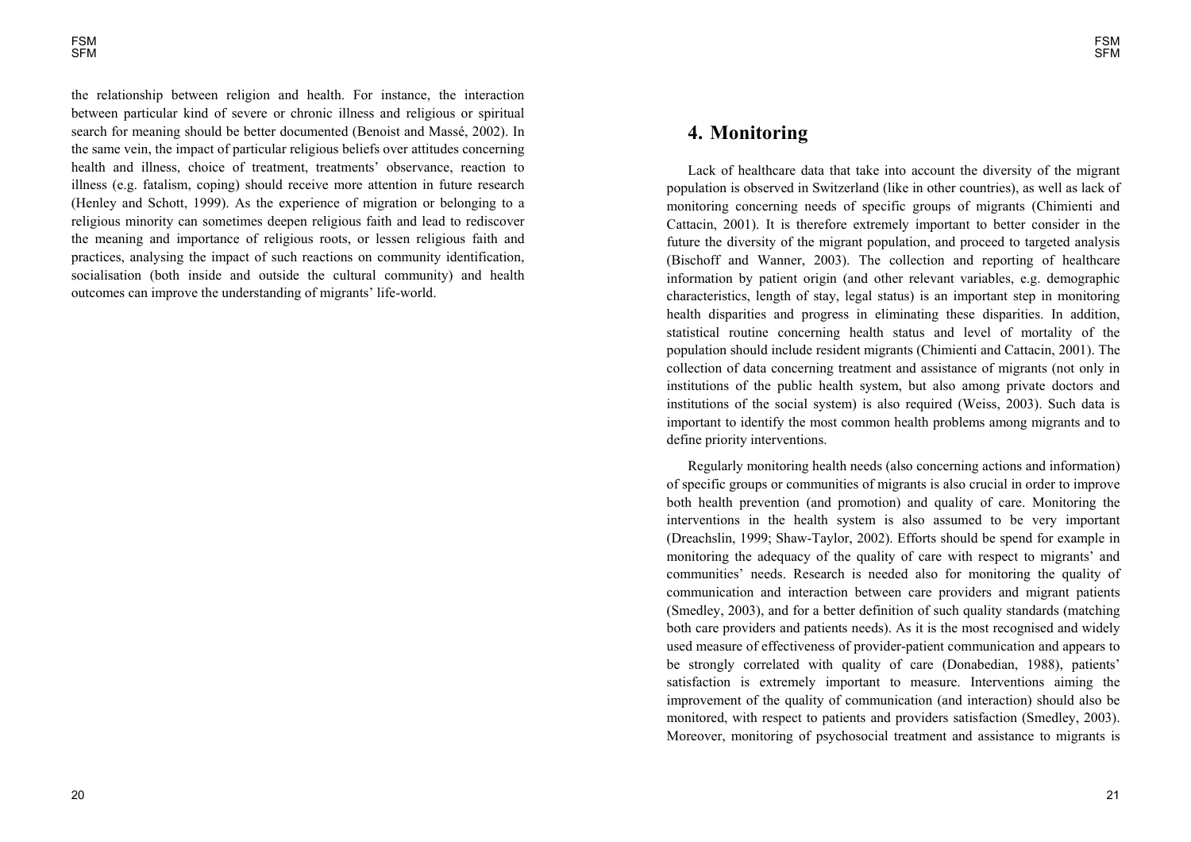the relationship between religion and health. For instance, the interaction between particular kind of severe or chronic illness and religious or spiritual search for meaning should be better documented (Benoist and Massé, 2002). In the same vein, the impact of particular religious beliefs over attitudes concerning health and illness, choice of treatment, treatments' observance, reaction to illness (e.g. fatalism, coping) should receive more attention in future research (Henley and Schott, 1999). As the experience of migration or belonging to a religious minority can sometimes deepen religious faith and lead to rediscover the meaning and importance of religious roots, or lessen religious faith and practices, analysing the impact of such reactions on community identification, socialisation (both inside and outside the cultural community) and health outcomes can improve the understanding of migrants' life-world.

# **4. Monitoring**

Lack of healthcare data that take into account the diversity of the migrant population is observed in Switzerland (like in other countries), as well as lack of monitoring concerning needs of specific groups of migrants (Chimienti and Cattacin, 2001). It is therefore extremely important to better consider in the future the diversity of the migrant population, and proceed to targeted analysis (Bischoff and Wanner, 2003). The collection and reporting of healthcare information by patient origin (and other relevant variables, e.g. demographic characteristics, length of stay, legal status) is an important step in monitoring health disparities and progress in eliminating these disparities. In addition, statistical routine concerning health status and level of mortality of the population should include resident migrants (Chimienti and Cattacin, 2001). The collection of data concerning treatment and assistance of migrants (not only in institutions of the public health system, but also among private doctors and institutions of the social system) is also required (Weiss, 2003). Such data is important to identify the most common health problems among migrants and to define priority interventions.

Regularly monitoring health needs (also concerning actions and information) of specific groups or communities of migrants is also crucial in order to improve both health prevention (and promotion) and quality of care. Monitoring the interventions in the health system is also assumed to be very important (Dreachslin, 1999; Shaw-Taylor, 2002). Efforts should be spend for example in monitoring the adequacy of the quality of care with respect to migrants' and communities' needs. Research is needed also for monitoring the quality of communication and interaction between care providers and migrant patients (Smedley, 2003), and for a better definition of such quality standards (matching both care providers and patients needs). As it is the most recognised and widely used measure of effectiveness of provider-patient communication and appears to be strongly correlated with quality of care (Donabedian, 1988), patients' satisfaction is extremely important to measure. Interventions aiming the improvement of the quality of communication (and interaction) should also be monitored, with respect to patients and providers satisfaction (Smedley, 2003). Moreover, monitoring of psychosocial treatment and assistance to migrants is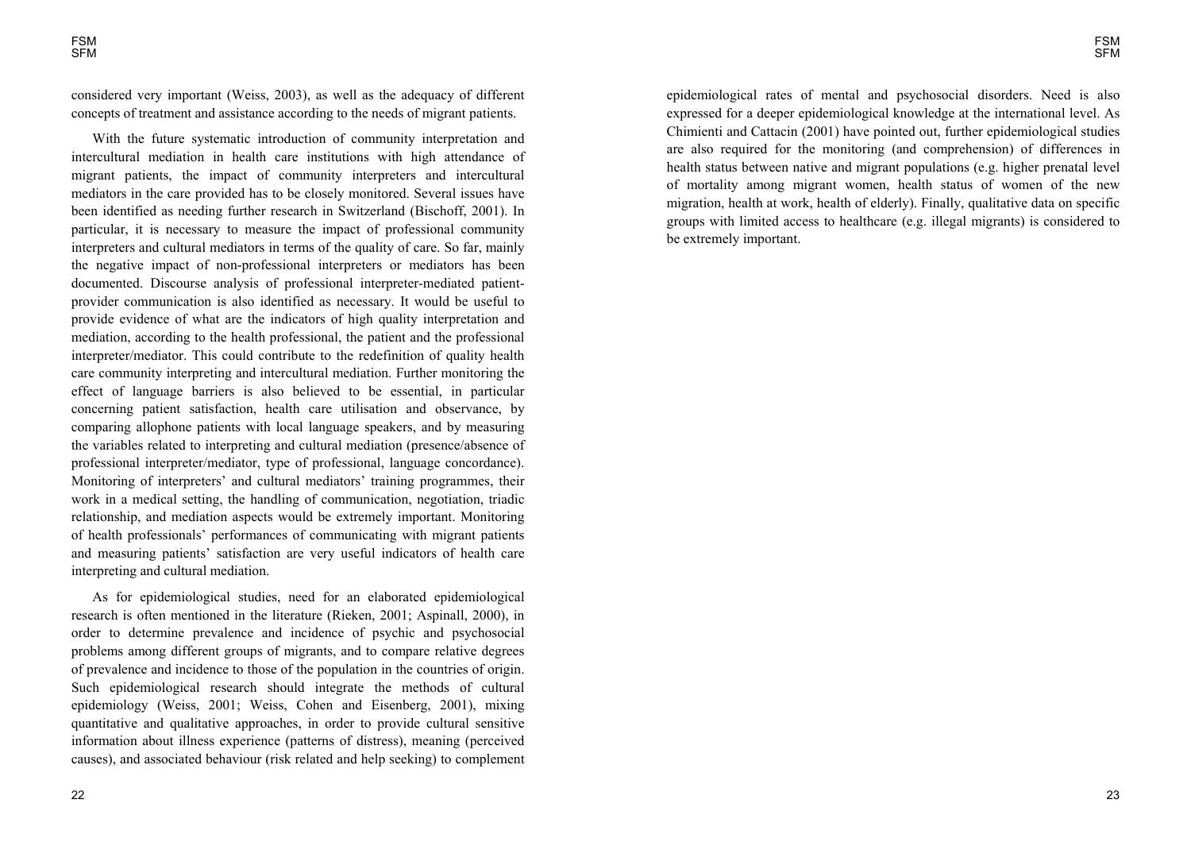considered very important (Weiss, 2003), as well as the adequacy of different concepts of treatment and assistance according to the needs of migrant patients.

With the future systematic introduction of community interpretation and intercultural mediation in health care institutions with high attendance of migrant patients, the impact of community interpreters and intercultural mediators in the care provided has to be closely monitored. Several issues have been identified as needing further research in Switzerland (Bischoff, 2001). In particular, it is necessary to measure the impact of professional community interpreters and cultural mediators in terms of the quality of care. So far, mainly the negative impact of non-professional interpreters or mediators has been documented. Discourse analysis of professional interpreter-mediated patientprovider communication is also identified as necessary. It would be useful to provide evidence of what are the indicators of high quality interpretation and mediation, according to the health professional, the patient and the professional interpreter/mediator. This could contribute to the redefinition of quality health care community interpreting and intercultural mediation. Further monitoring the effect of language barriers is also believed to be essential, in particular concerning patient satisfaction, health care utilisation and observance, by comparing allophone patients with local language speakers, and by measuring the variables related to interpreting and cultural mediation (presence/absence of professional interpreter/mediator, type of professional, language concordance). Monitoring of interpreters' and cultural mediators' training programmes, their work in a medical setting, the handling of communication, negotiation, triadic relationship, and mediation aspects would be extremely important. Monitoring of health professionals' performances of communicating with migrant patients and measuring patients' satisfaction are very useful indicators of health care interpreting and cultural mediation.

As for epidemiological studies, need for an elaborated epidemiological research is often mentioned in the literature (Rieken, 2001; Aspinall, 2000), in order to determine prevalence and incidence of psychic and psychosocial problems among different groups of migrants, and to compare relative degrees of prevalence and incidence to those of the population in the countries of origin. Such epidemiological research should integrate the methods of cultural epidemiology (Weiss, 2001; Weiss, Cohen and Eisenberg, 2001), mixing quantitative and qualitative approaches, in order to provide cultural sensitive information about illness experience (patterns of distress), meaning (perceived causes), and associated behaviour (risk related and help seeking) to complement

epidemiological rates of mental and psychosocial disorders. Need is also expressed for a deeper epidemiological knowledge at the international level. As Chimienti and Cattacin (2001) have pointed out, further epidemiological studies are also required for the monitoring (and comprehension) of differences in health status between native and migrant populations (e.g. higher prenatal level of mortality among migrant women, health status of women of the new migration, health at work, health of elderly). Finally, qualitative data on specific groups with limited access to healthcare (e.g. illegal migrants) is considered to be extremely important.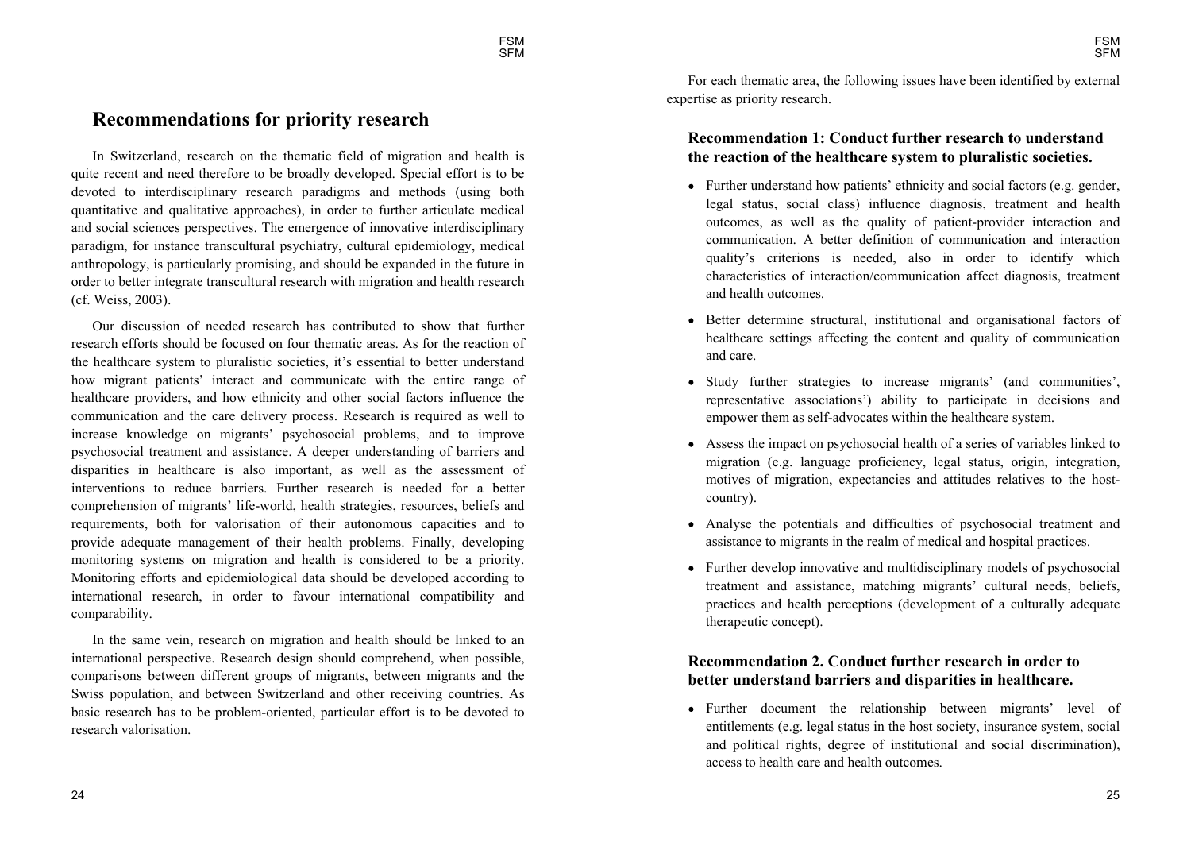# **Recommendations for priority research**

In Switzerland, research on the thematic field of migration and health is quite recent and need therefore to be broadly developed. Special effort is to be devoted to interdisciplinary research paradigms and methods (using both quantitative and qualitative approaches), in order to further articulate medical and social sciences perspectives. The emergence of innovative interdisciplinary paradigm, for instance transcultural psychiatry, cultural epidemiology, medical anthropology, is particularly promising, and should be expanded in the future in order to better integrate transcultural research with migration and health research (cf. Weiss, 2003).

Our discussion of needed research has contributed to show that further research efforts should be focused on four thematic areas. As for the reaction of the healthcare system to pluralistic societies, it's essential to better understand how migrant patients' interact and communicate with the entire range of healthcare providers, and how ethnicity and other social factors influence the communication and the care delivery process. Research is required as well to increase knowledge on migrants' psychosocial problems, and to improve psychosocial treatment and assistance. A deeper understanding of barriers and disparities in healthcare is also important, as well as the assessment of interventions to reduce barriers. Further research is needed for a better comprehension of migrants' life-world, health strategies, resources, beliefs and requirements, both for valorisation of their autonomous capacities and to provide adequate management of their health problems. Finally, developing monitoring systems on migration and health is considered to be a priority. Monitoring efforts and epidemiological data should be developed according to international research, in order to favour international compatibility and comparability.

In the same vein, research on migration and health should be linked to an international perspective. Research design should comprehend, when possible, comparisons between different groups of migrants, between migrants and the Swiss population, and between Switzerland and other receiving countries. As basic research has to be problem-oriented, particular effort is to be devoted to research valorisation.

For each thematic area, the following issues have been identified by external expertise as priority research.

### **Recommendation 1: Conduct further research to understand the reaction of the healthcare system to pluralistic societies.**

- Further understand how patients' ethnicity and social factors (e.g. gender, legal status, social class) influence diagnosis, treatment and health outcomes, as well as the quality of patient-provider interaction and communication. A better definition of communication and interaction quality's criterions is needed, also in order to identify which characteristics of interaction/communication affect diagnosis, treatment and health outcomes.
- Better determine structural, institutional and organisational factors of healthcare settings affecting the content and quality of communication and care.
- Study further strategies to increase migrants' (and communities', representative associations) ability to participate in decisions and empower them as self-advocates within the healthcare system.
- Assess the impact on psychosocial health of a series of variables linked to migration (e.g. language proficiency, legal status, origin, integration, motives of migration, expectancies and attitudes relatives to the hostcountry).
- Analyse the potentials and difficulties of psychosocial treatment and assistance to migrants in the realm of medical and hospital practices.
- Further develop innovative and multidisciplinary models of psychosocial treatment and assistance, matching migrants' cultural needs, beliefs, practices and health perceptions (development of a culturally adequate therapeutic concept).

### **Recommendation 2. Conduct further research in order to better understand barriers and disparities in healthcare.**

• Further document the relationship between migrants' level of entitlements (e.g. legal status in the host society, insurance system, social and political rights, degree of institutional and social discrimination), access to health care and health outcomes.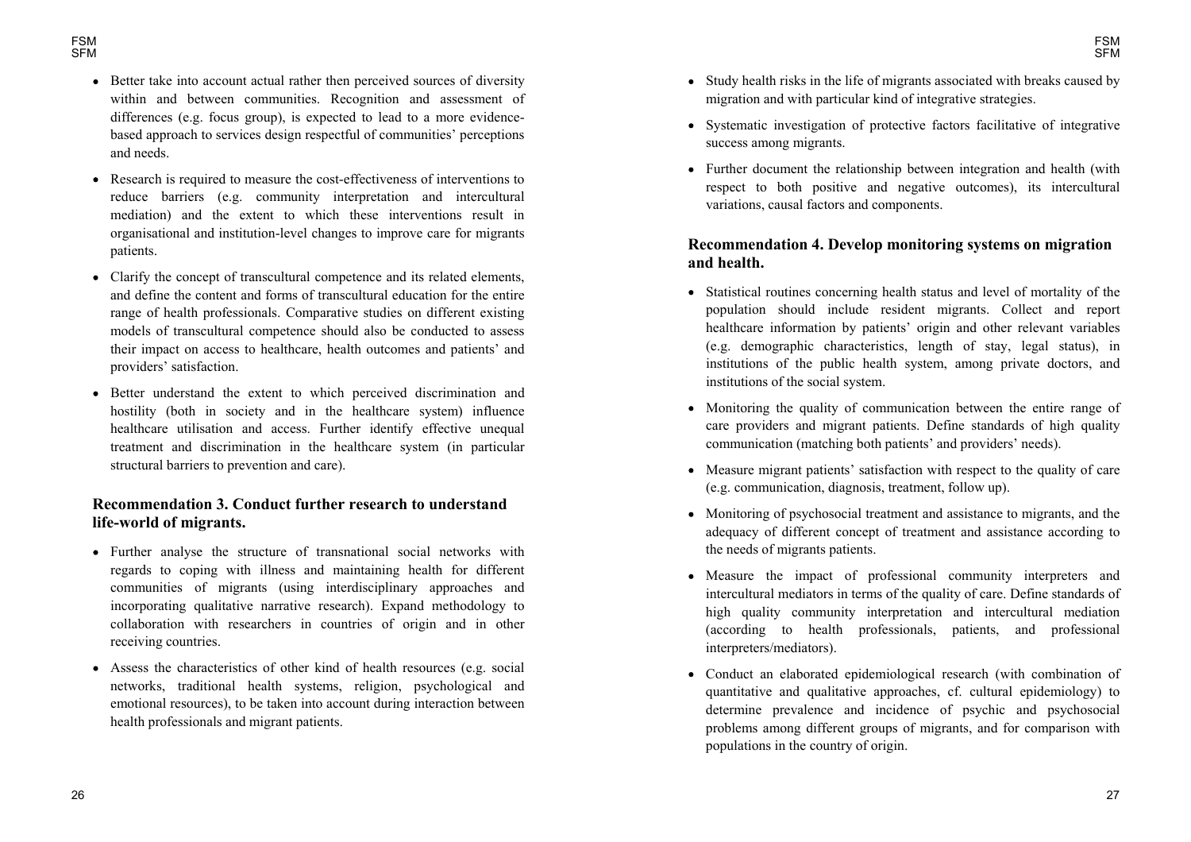- Better take into account actual rather then perceived sources of diversity within and between communities. Recognition and assessment of differences (e.g. focus group), is expected to lead to a more evidencebased approach to services design respectful of communities' perceptions and needs.
- Research is required to measure the cost-effectiveness of interventions to reduce barriers (e.g. community interpretation and intercultural mediation) and the extent to which these interventions result in organisational and institution-level changes to improve care for migrants patients.
- Clarify the concept of transcultural competence and its related elements, and define the content and forms of transcultural education for the entire range of health professionals. Comparative studies on different existing models of transcultural competence should also be conducted to assess their impact on access to healthcare, health outcomes and patients' and providers' satisfaction.
- Better understand the extent to which perceived discrimination and hostility (both in society and in the healthcare system) influence healthcare utilisation and access. Further identify effective unequal treatment and discrimination in the healthcare system (in particular structural barriers to prevention and care).

### **Recommendation 3. Conduct further research to understand life-world of migrants.**

- Further analyse the structure of transnational social networks with regards to coping with illness and maintaining health for different communities of migrants (using interdisciplinary approaches and incorporating qualitative narrative research). Expand methodology to collaboration with researchers in countries of origin and in other receiving countries.
- Assess the characteristics of other kind of health resources (e.g. social networks, traditional health systems, religion, psychological and emotional resources), to be taken into account during interaction between health professionals and migrant patients.
- Study health risks in the life of migrants associated with breaks caused by migration and with particular kind of integrative strategies.
- Systematic investigation of protective factors facilitative of integrative success among migrants.
- Further document the relationship between integration and health (with respect to both positive and negative outcomes), its intercultural variations, causal factors and components.

### **Recommendation 4. Develop monitoring systems on migration and health.**

- Statistical routines concerning health status and level of mortality of the population should include resident migrants. Collect and report healthcare information by patients' origin and other relevant variables (e.g. demographic characteristics, length of stay, legal status), in institutions of the public health system, among private doctors, and institutions of the social system.
- Monitoring the quality of communication between the entire range of care providers and migrant patients. Define standards of high quality communication (matching both patients' and providers' needs).
- Measure migrant patients' satisfaction with respect to the quality of care (e.g. communication, diagnosis, treatment, follow up).
- Monitoring of psychosocial treatment and assistance to migrants, and the adequacy of different concept of treatment and assistance according to the needs of migrants patients.
- Measure the impact of professional community interpreters and intercultural mediators in terms of the quality of care. Define standards of high quality community interpretation and intercultural mediation (according to health professionals, patients, and professional interpreters/mediators).
- Conduct an elaborated epidemiological research (with combination of quantitative and qualitative approaches, cf. cultural epidemiology) to determine prevalence and incidence of psychic and psychosocial problems among different groups of migrants, and for comparison with populations in the country of origin.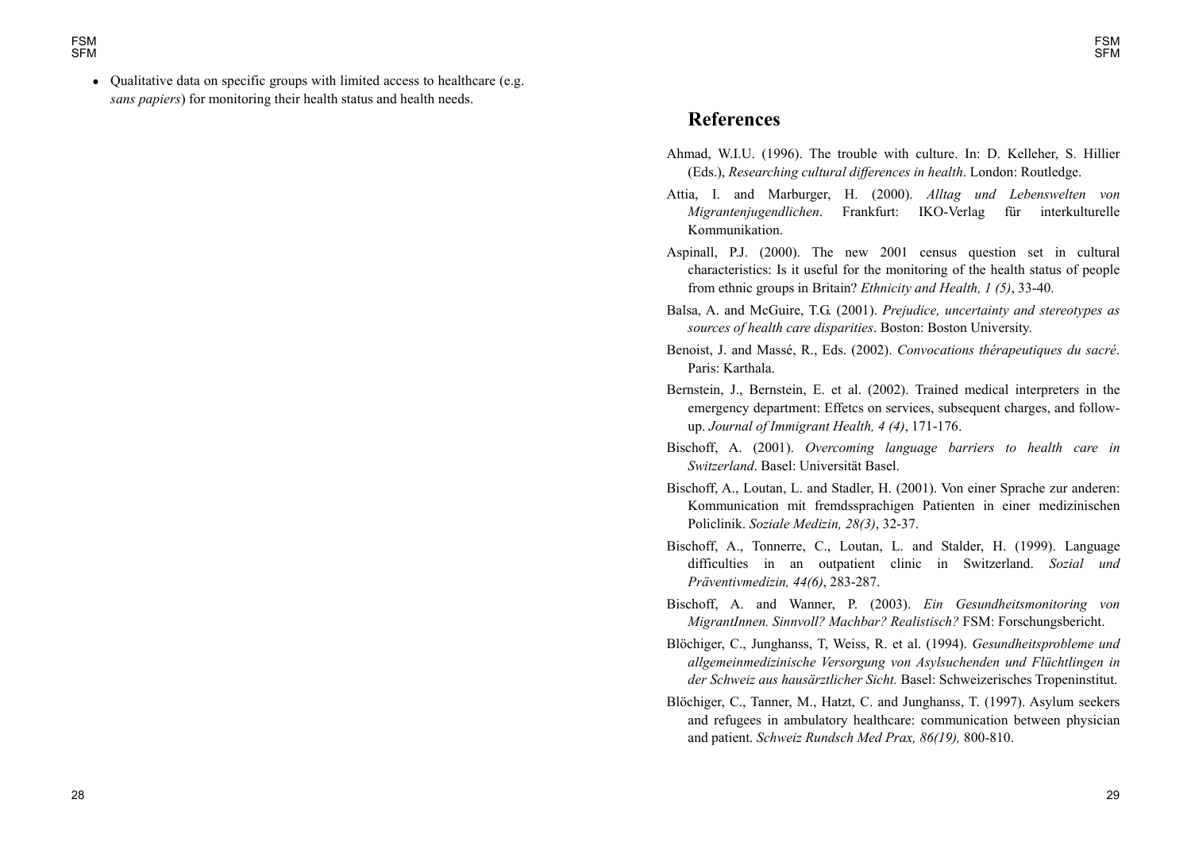• Qualitative data on specific groups with limited access to healthcare (e.g. *sans papiers*) for monitoring their health status and health needs.

# **References**

- Ahmad, W.I.U. (1996). The trouble with culture. In: D. Kelleher, S. Hillier (Eds.), *Researching cultural differences in health*. London: Routledge.
- Attia, I. and Marburger, H. (2000). *Alltag und Lebenswelten von Migrantenjugendlichen*. Frankfurt: IKO-Verlag für interkulturelle Kommunikation.
- Aspinall, P.J. (2000). The new 2001 census question set in cultural characteristics: Is it useful for the monitoring of the health status of people from ethnic groups in Britain? *Ethnicity and Health, 1 (5)*, 33-40.
- Balsa, A. and McGuire, T.G. (2001). *Prejudice, uncertainty and stereotypes as sources of health care disparities*. Boston: Boston University.
- Benoist, J. and Massé, R., Eds. (2002). *Convocations thérapeutiques du sacré*. Paris: Karthala.
- Bernstein, J., Bernstein, E. et al. (2002). Trained medical interpreters in the emergency department: Effetcs on services, subsequent charges, and followup. *Journal of Immigrant Health, 4 (4)*, 171-176.
- Bischoff, A. (2001). *Overcoming language barriers to health care in Switzerland*. Basel: Universität Basel.
- Bischoff, A., Loutan, L. and Stadler, H. (2001). Von einer Sprache zur anderen: Kommunication mit fremdssprachigen Patienten in einer medizinischen Policlinik. *Soziale Medizin, 28(3)*, 32-37.
- Bischoff, A., Tonnerre, C., Loutan, L. and Stalder, H. (1999). Language difficulties in an outpatient clinic in Switzerland. *Sozial und Präventivmedizin, 44(6)*, 283-287.
- Bischoff, A. and Wanner, P. (2003). *Ein Gesundheitsmonitoring von MigrantInnen. Sinnvoll? Machbar? Realistisch?* FSM: Forschungsbericht.
- Blöchiger, C., Junghanss, T, Weiss, R. et al. (1994). *Gesundheitsprobleme und allgemeinmedizinische Versorgung von Asylsuchenden und Flüchtlingen in der Schweiz aus hausärztlicher Sicht.* Basel: Schweizerisches Tropeninstitut.
- Blöchiger, C., Tanner, M., Hatzt, C. and Junghanss, T. (1997). Asylum seekers and refugees in ambulatory healthcare: communication between physician and patient. *Schweiz Rundsch Med Prax, 86(19),* 800-810.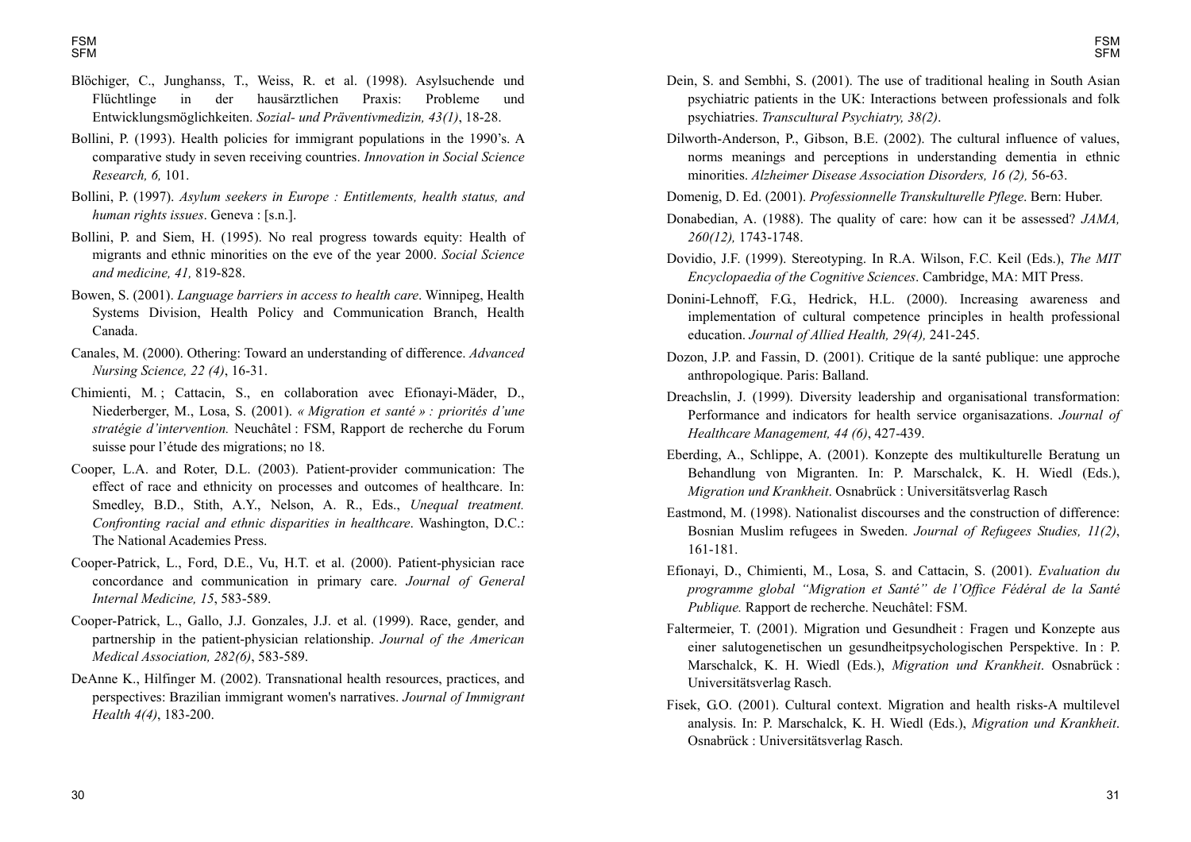- Blöchiger, C., Junghanss, T., Weiss, R. et al. (1998). Asylsuchende und Flüchtlinge in der hausärztlichen Praxis: Probleme und Entwicklungsmöglichkeiten. *Sozial- und Präventivmedizin, 43(1)*, 18-28.
- Bollini, P. (1993). Health policies for immigrant populations in the 1990's. A comparative study in seven receiving countries. *Innovation in Social Science Research, 6,* 101.
- Bollini, P. (1997). *Asylum seekers in Europe : Entitlements, health status, and human rights issues*. Geneva : [s.n.].
- Bollini, P. and Siem, H. (1995). No real progress towards equity: Health of migrants and ethnic minorities on the eve of the year 2000. *Social Science and medicine, 41,* 819-828.
- Bowen, S. (2001). *Language barriers in access to health care*. Winnipeg, Health Systems Division, Health Policy and Communication Branch, Health Canada.
- Canales, M. (2000). Othering: Toward an understanding of difference. *Advanced Nursing Science, 22 (4)*, 16-31.
- Chimienti, M. ; Cattacin, S., en collaboration avec Efionayi-Mäder, D., Niederberger, M., Losa, S. (2001). *« Migration et santé » : priorités dune stratégie dintervention.* Neuchâtel : FSM, Rapport de recherche du Forum suisse pour l'étude des migrations; no 18.
- Cooper, L.A. and Roter, D.L. (2003). Patient-provider communication: The effect of race and ethnicity on processes and outcomes of healthcare. In: Smedley, B.D., Stith, A.Y., Nelson, A. R., Eds., *Unequal treatment. Confronting racial and ethnic disparities in healthcare*. Washington, D.C.: The National Academies Press.
- Cooper-Patrick, L., Ford, D.E., Vu, H.T. et al. (2000). Patient-physician race concordance and communication in primary care. *Journal of General Internal Medicine, 15*, 583-589.
- Cooper-Patrick, L., Gallo, J.J. Gonzales, J.J. et al. (1999). Race, gender, and partnership in the patient-physician relationship. *Journal of the American Medical Association, 282(6)*, 583-589.
- DeAnne K., Hilfinger M. (2002). Transnational health resources, practices, and perspectives: Brazilian immigrant women's narratives. *Journal of Immigrant Health 4(4)*, 183-200.
- Dein, S. and Sembhi, S. (2001). The use of traditional healing in South Asian psychiatric patients in the UK: Interactions between professionals and folk psychiatries. *Transcultural Psychiatry, 38(2)*.
- Dilworth-Anderson, P., Gibson, B.E. (2002). The cultural influence of values, norms meanings and perceptions in understanding dementia in ethnic minorities. *Alzheimer Disease Association Disorders, 16 (2),* 56-63.
- Domenig, D. Ed. (2001). *Professionnelle Transkulturelle Pflege*. Bern: Huber.
- Donabedian, A. (1988). The quality of care: how can it be assessed? *JAMA, 260(12),* 1743-1748.
- Dovidio, J.F. (1999). Stereotyping. In R.A. Wilson, F.C. Keil (Eds.), *The MIT Encyclopaedia of the Cognitive Sciences*. Cambridge, MA: MIT Press.
- Donini-Lehnoff, F.G., Hedrick, H.L. (2000). Increasing awareness and implementation of cultural competence principles in health professional education. *Journal of Allied Health, 29(4),* 241-245.
- Dozon, J.P. and Fassin, D. (2001). Critique de la santé publique: une approche anthropologique. Paris: Balland.
- Dreachslin, J. (1999). Diversity leadership and organisational transformation: Performance and indicators for health service organisazations. *Journal of Healthcare Management, 44 (6)*, 427-439.
- Eberding, A., Schlippe, A. (2001). Konzepte des multikulturelle Beratung un Behandlung von Migranten. In: P. Marschalck, K. H. Wiedl (Eds.), *Migration und Krankheit*. Osnabrück : Universitätsverlag Rasch
- Eastmond, M. (1998). Nationalist discourses and the construction of difference: Bosnian Muslim refugees in Sweden. *Journal of Refugees Studies, 11(2)*, 161-181.
- Efionayi, D., Chimienti, M., Losa, S. and Cattacin, S. (2001). *Evaluation du programme global Migration et Santé de lOffice Fédéral de la Santé Publique.* Rapport de recherche. Neuchâtel: FSM.
- Faltermeier, T. (2001). Migration und Gesundheit : Fragen und Konzepte aus einer salutogenetischen un gesundheitpsychologischen Perspektive. In : P. Marschalck, K. H. Wiedl (Eds.), *Migration und Krankheit*. Osnabrück : Universitätsverlag Rasch.
- Fisek, G.O. (2001). Cultural context. Migration and health risks-A multilevel analysis. In: P. Marschalck, K. H. Wiedl (Eds.), *Migration und Krankheit*. Osnabrück : Universitätsverlag Rasch.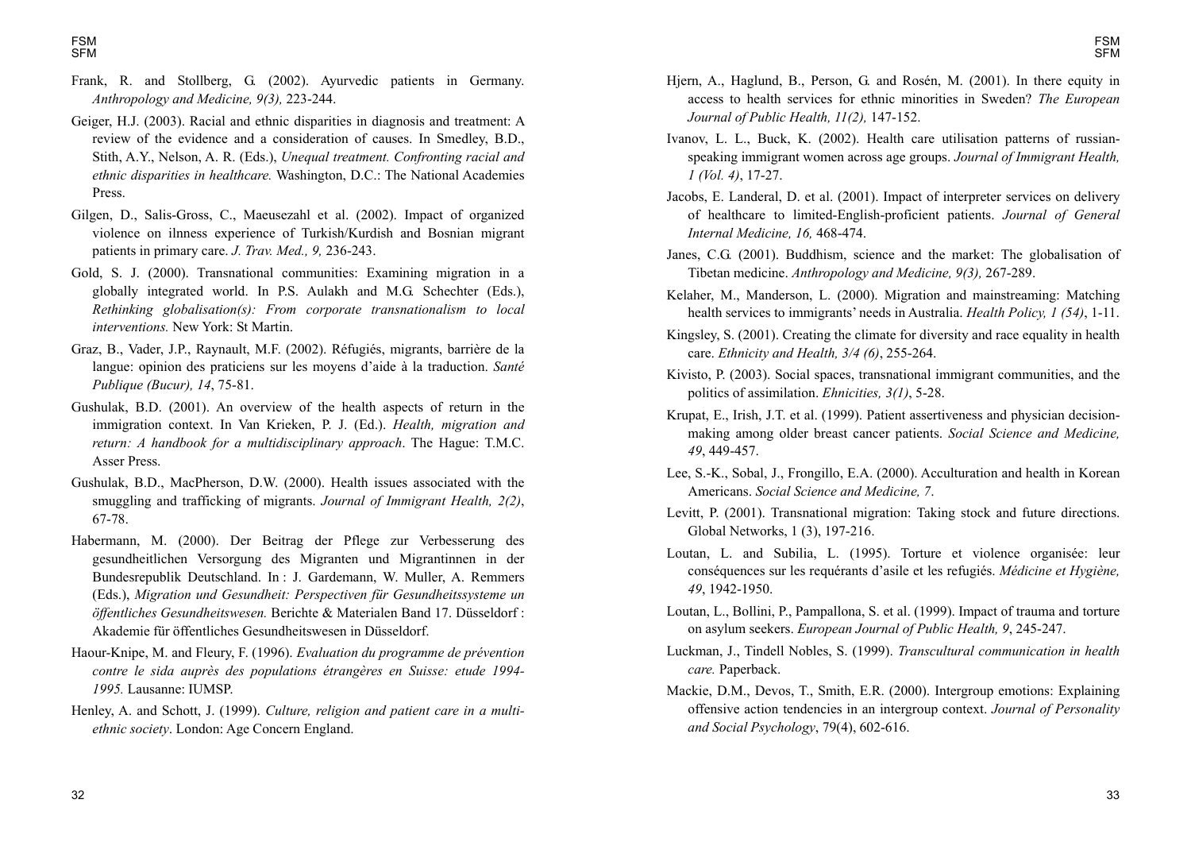- Frank, R. and Stollberg, G. (2002). Ayurvedic patients in Germany. *Anthropology and Medicine, 9(3),* 223-244.
- Geiger, H.J. (2003). Racial and ethnic disparities in diagnosis and treatment: A review of the evidence and a consideration of causes. In Smedley, B.D., Stith, A.Y., Nelson, A. R. (Eds.), *Unequal treatment. Confronting racial and ethnic disparities in healthcare.* Washington, D.C.: The National Academies Press.
- Gilgen, D., Salis-Gross, C., Maeusezahl et al. (2002). Impact of organized violence on ilnness experience of Turkish/Kurdish and Bosnian migrant patients in primary care. *J. Trav. Med., 9,* 236-243.
- Gold, S. J. (2000). Transnational communities: Examining migration in a globally integrated world. In P.S. Aulakh and M.G. Schechter (Eds.), *Rethinking globalisation(s): From corporate transnationalism to local interventions.* New York: St Martin.
- Graz, B., Vader, J.P., Raynault, M.F. (2002). Réfugiés, migrants, barrière de la langue: opinion des praticiens sur les moyens d'aide à la traduction. *Santé Publique (Bucur), 14*, 75-81.
- Gushulak, B.D. (2001). An overview of the health aspects of return in the immigration context. In Van Krieken, P. J. (Ed.). *Health, migration and return: A handbook for a multidisciplinary approach*. The Hague: T.M.C. Asser Press.
- Gushulak, B.D., MacPherson, D.W. (2000). Health issues associated with the smuggling and trafficking of migrants. *Journal of Immigrant Health, 2(2)*, 67-78.
- Habermann, M. (2000). Der Beitrag der Pflege zur Verbesserung des gesundheitlichen Versorgung des Migranten und Migrantinnen in der Bundesrepublik Deutschland. In : J. Gardemann, W. Muller, A. Remmers (Eds.), *Migration und Gesundheit: Perspectiven für Gesundheitssysteme un öffentliches Gesundheitswesen.* Berichte & Materialen Band 17. Düsseldorf : Akademie für öffentliches Gesundheitswesen in Düsseldorf.
- Haour-Knipe, M. and Fleury, F. (1996). *Evaluation du programme de prévention contre le sida auprès des populations étrangères en Suisse: etude 1994- 1995.* Lausanne: IUMSP.
- Henley, A. and Schott, J. (1999). *Culture, religion and patient care in a multiethnic society*. London: Age Concern England.
- Hjern, A., Haglund, B., Person, G. and Rosén, M. (2001). In there equity in access to health services for ethnic minorities in Sweden? *The European Journal of Public Health, 11(2),* 147-152.
- Ivanov, L. L., Buck, K. (2002). Health care utilisation patterns of russianspeaking immigrant women across age groups. *Journal of Immigrant Health, 1 (Vol. 4)*, 17-27.
- Jacobs, E. Landeral, D. et al. (2001). Impact of interpreter services on delivery of healthcare to limited-English-proficient patients. *Journal of General Internal Medicine, 16,* 468-474.
- Janes, C.G. (2001). Buddhism, science and the market: The globalisation of Tibetan medicine. *Anthropology and Medicine, 9(3),* 267-289.
- Kelaher, M., Manderson, L. (2000). Migration and mainstreaming: Matching health services to immigrants' needs in Australia. *Health Policy, 1 (54)*, 1-11.
- Kingsley, S. (2001). Creating the climate for diversity and race equality in health care. *Ethnicity and Health, 3/4 (6)*, 255-264.
- Kivisto, P. (2003). Social spaces, transnational immigrant communities, and the politics of assimilation. *Ehnicities, 3(1)*, 5-28.
- Krupat, E., Irish, J.T. et al. (1999). Patient assertiveness and physician decisionmaking among older breast cancer patients. *Social Science and Medicine, 49*, 449-457.
- Lee, S.-K., Sobal, J., Frongillo, E.A. (2000). Acculturation and health in Korean Americans. *Social Science and Medicine, 7*.
- Levitt, P. (2001). Transnational migration: Taking stock and future directions. Global Networks, 1 (3), 197-216.
- Loutan, L. and Subilia, L. (1995). Torture et violence organisée: leur conséquences sur les requérants d'asile et les refugiés. *Médicine et Hygiène*, *49*, 1942-1950.
- Loutan, L., Bollini, P., Pampallona, S. et al. (1999). Impact of trauma and torture on asylum seekers. *European Journal of Public Health, 9*, 245-247.
- Luckman, J., Tindell Nobles, S. (1999). *Transcultural communication in health care.* Paperback.
- Mackie, D.M., Devos, T., Smith, E.R. (2000). Intergroup emotions: Explaining offensive action tendencies in an intergroup context. *Journal of Personality and Social Psychology*, 79(4), 602-616.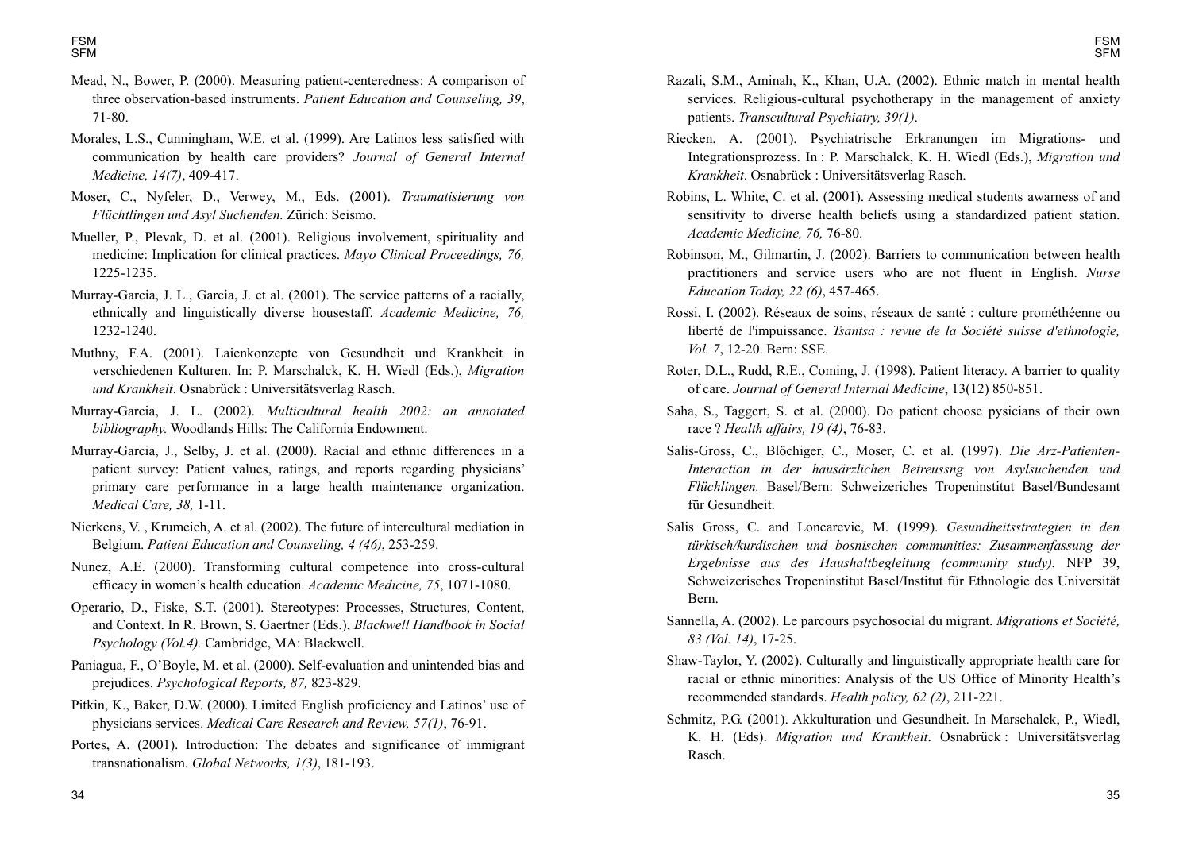- Mead, N., Bower, P. (2000). Measuring patient-centeredness: A comparison of three observation-based instruments. *Patient Education and Counseling, 39*, 71-80.
- Morales, L.S., Cunningham, W.E. et al. (1999). Are Latinos less satisfied with communication by health care providers? *Journal of General Internal Medicine, 14(7)*, 409-417.
- Moser, C., Nyfeler, D., Verwey, M., Eds. (2001). *Traumatisierung von Flüchtlingen und Asyl Suchenden.* Zürich: Seismo.
- Mueller, P., Plevak, D. et al. (2001). Religious involvement, spirituality and medicine: Implication for clinical practices. *Mayo Clinical Proceedings, 76,*  1225-1235.
- Murray-Garcia, J. L., Garcia, J. et al. (2001). The service patterns of a racially, ethnically and linguistically diverse housestaff. *Academic Medicine, 76,*  1232-1240.
- Muthny, F.A. (2001). Laienkonzepte von Gesundheit und Krankheit in verschiedenen Kulturen. In: P. Marschalck, K. H. Wiedl (Eds.), *Migration und Krankheit*. Osnabrück : Universitätsverlag Rasch.
- Murray-Garcia, J. L. (2002). *Multicultural health 2002: an annotated bibliography.* Woodlands Hills: The California Endowment.
- Murray-Garcia, J., Selby, J. et al. (2000). Racial and ethnic differences in a patient survey: Patient values, ratings, and reports regarding physicians primary care performance in a large health maintenance organization. *Medical Care, 38,* 1-11.
- Nierkens, V. , Krumeich, A. et al. (2002). The future of intercultural mediation in Belgium. *Patient Education and Counseling, 4 (46)*, 253-259.
- Nunez, A.E. (2000). Transforming cultural competence into cross-cultural efficacy in women's health education. *Academic Medicine*, 75, 1071-1080.
- Operario, D., Fiske, S.T. (2001). Stereotypes: Processes, Structures, Content, and Context. In R. Brown, S. Gaertner (Eds.), *Blackwell Handbook in Social Psychology (Vol.4).* Cambridge, MA: Blackwell.
- Paniagua, F., O'Boyle, M. et al. (2000). Self-evaluation and unintended bias and prejudices. *Psychological Reports, 87,* 823-829.
- Pitkin, K., Baker, D.W. (2000). Limited English proficiency and Latinos' use of physicians services. *Medical Care Research and Review, 57(1)*, 76-91.
- Portes, A. (2001). Introduction: The debates and significance of immigrant transnationalism. *Global Networks, 1(3)*, 181-193.
- Razali, S.M., Aminah, K., Khan, U.A. (2002). Ethnic match in mental health services. Religious-cultural psychotherapy in the management of anxiety patients. *Transcultural Psychiatry, 39(1)*.
- Riecken, A. (2001). Psychiatrische Erkranungen im Migrations- und Integrationsprozess. In : P. Marschalck, K. H. Wiedl (Eds.), *Migration und Krankheit*. Osnabrück : Universitätsverlag Rasch.
- Robins, L. White, C. et al. (2001). Assessing medical students awarness of and sensitivity to diverse health beliefs using a standardized patient station. *Academic Medicine, 76,* 76-80.
- Robinson, M., Gilmartin, J. (2002). Barriers to communication between health practitioners and service users who are not fluent in English. *Nurse Education Today, 22 (6)*, 457-465.
- Rossi, I. (2002). Réseaux de soins, réseaux de santé : culture prométhéenne ou liberté de l'impuissance. *Tsantsa : revue de la Société suisse d'ethnologie, Vol. 7*, 12-20. Bern: SSE.
- Roter, D.L., Rudd, R.E., Coming, J. (1998). Patient literacy. A barrier to quality of care. *Journal of General Internal Medicine*, 13(12) 850-851.
- Saha, S., Taggert, S. et al. (2000). Do patient choose pysicians of their own race ? *Health affairs, 19 (4)*, 76-83.
- Salis-Gross, C., Blöchiger, C., Moser, C. et al. (1997). *Die Arz-Patienten-Interaction in der hausärzlichen Betreussng von Asylsuchenden und Flüchlingen.* Basel/Bern: Schweizeriches Tropeninstitut Basel/Bundesamt für Gesundheit.
- Salis Gross, C. and Loncarevic, M. (1999). *Gesundheitsstrategien in den türkisch/kurdischen und bosnischen communities: Zusammenfassung der Ergebnisse aus des Haushaltbegleitung (community study).* NFP 39, Schweizerisches Tropeninstitut Basel/Institut für Ethnologie des Universität Bern.
- Sannella, A. (2002). Le parcours psychosocial du migrant. *Migrations et Société, 83 (Vol. 14)*, 17-25.
- Shaw-Taylor, Y. (2002). Culturally and linguistically appropriate health care for racial or ethnic minorities: Analysis of the US Office of Minority Health's recommended standards. *Health policy, 62 (2)*, 211-221.
- Schmitz, P.G. (2001). Akkulturation und Gesundheit. In Marschalck, P., Wiedl, K. H. (Eds). *Migration und Krankheit*. Osnabrück : Universitätsverlag Rasch.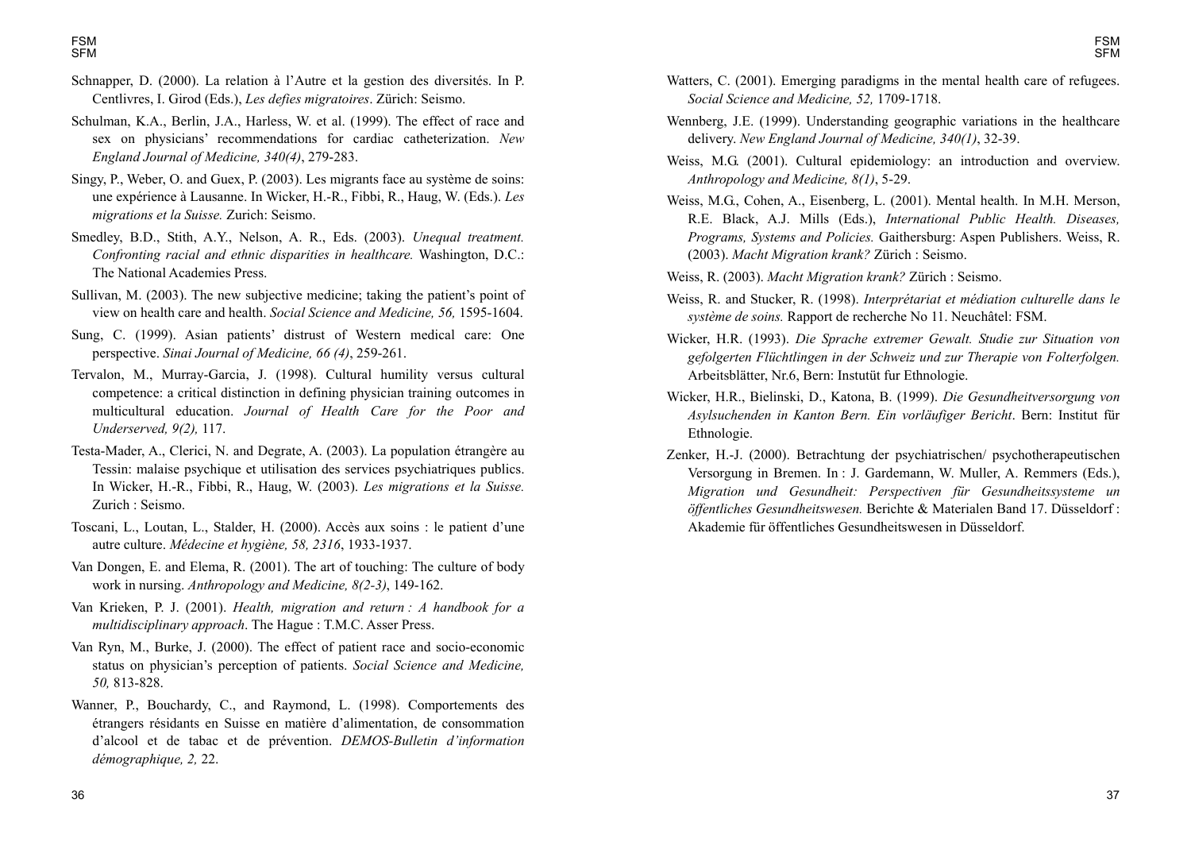- Schnapper, D. (2000). La relation à l'Autre et la gestion des diversités. In P. Centlivres, I. Girod (Eds.), *Les defies migratoires*. Zürich: Seismo.
- Schulman, K.A., Berlin, J.A., Harless, W. et al. (1999). The effect of race and sex on physicians' recommendations for cardiac catheterization. *New England Journal of Medicine, 340(4)*, 279-283.
- Singy, P., Weber, O. and Guex, P. (2003). Les migrants face au système de soins: une expérience à Lausanne. In Wicker, H.-R., Fibbi, R., Haug, W. (Eds.). *Les migrations et la Suisse.* Zurich: Seismo.
- Smedley, B.D., Stith, A.Y., Nelson, A. R., Eds. (2003). *Unequal treatment. Confronting racial and ethnic disparities in healthcare.* Washington, D.C.: The National Academies Press.
- Sullivan, M.  $(2003)$ . The new subjective medicine; taking the patient's point of view on health care and health. *Social Science and Medicine, 56,* 1595-1604.
- Sung, C. (1999). Asian patients' distrust of Western medical care: One perspective. *Sinai Journal of Medicine, 66 (4)*, 259-261.
- Tervalon, M., Murray-Garcia, J. (1998). Cultural humility versus cultural competence: a critical distinction in defining physician training outcomes in multicultural education. *Journal of Health Care for the Poor and Underserved, 9(2),* 117.
- Testa-Mader, A., Clerici, N. and Degrate, A. (2003). La population étrangère au Tessin: malaise psychique et utilisation des services psychiatriques publics. In Wicker, H.-R., Fibbi, R., Haug, W. (2003). *Les migrations et la Suisse.* Zurich : Seismo.
- Toscani, L., Loutan, L., Stalder, H. (2000). Accès aux soins : le patient d'une autre culture. *Médecine et hygiène, 58, 2316*, 1933-1937.
- Van Dongen, E. and Elema, R. (2001). The art of touching: The culture of body work in nursing. *Anthropology and Medicine, 8(2-3)*, 149-162.
- Van Krieken, P. J. (2001). *Health, migration and return : A handbook for a multidisciplinary approach*. The Hague : T.M.C. Asser Press.
- Van Ryn, M., Burke, J. (2000). The effect of patient race and socio-economic status on physician's perception of patients. *Social Science and Medicine*, *50,* 813-828.
- Wanner, P., Bouchardy, C., and Raymond, L. (1998). Comportements des étrangers résidants en Suisse en matière d'alimentation, de consommation d'alcool et de tabac et de prévention. *DEMOS-Bulletin d'information démographique, 2,* 22.
- Watters, C. (2001). Emerging paradigms in the mental health care of refugees. *Social Science and Medicine, 52,* 1709-1718.
- Wennberg, J.E. (1999). Understanding geographic variations in the healthcare delivery. *New England Journal of Medicine, 340(1)*, 32-39.
- Weiss, M.G. (2001). Cultural epidemiology: an introduction and overview. *Anthropology and Medicine, 8(1)*, 5-29.
- Weiss, M.G., Cohen, A., Eisenberg, L. (2001). Mental health. In M.H. Merson, R.E. Black, A.J. Mills (Eds.), *International Public Health. Diseases, Programs, Systems and Policies.* Gaithersburg: Aspen Publishers. Weiss, R. (2003). *Macht Migration krank?* Zürich : Seismo.
- Weiss, R. (2003). *Macht Migration krank?* Zürich : Seismo.
- Weiss, R. and Stucker, R. (1998). *Interprétariat et médiation culturelle dans le système de soins.* Rapport de recherche No 11. Neuchâtel: FSM.
- Wicker, H.R. (1993). *Die Sprache extremer Gewalt. Studie zur Situation von gefolgerten Flüchtlingen in der Schweiz und zur Therapie von Folterfolgen.* Arbeitsblätter, Nr.6, Bern: Instutüt fur Ethnologie.
- Wicker, H.R., Bielinski, D., Katona, B. (1999). *Die Gesundheitversorgung von Asylsuchenden in Kanton Bern. Ein vorläufiger Bericht*. Bern: Institut für Ethnologie.
- Zenker, H.-J. (2000). Betrachtung der psychiatrischen/ psychotherapeutischen Versorgung in Bremen. In : J. Gardemann, W. Muller, A. Remmers (Eds.), *Migration und Gesundheit: Perspectiven für Gesundheitssysteme un öffentliches Gesundheitswesen.* Berichte & Materialen Band 17. Düsseldorf : Akademie für öffentliches Gesundheitswesen in Düsseldorf.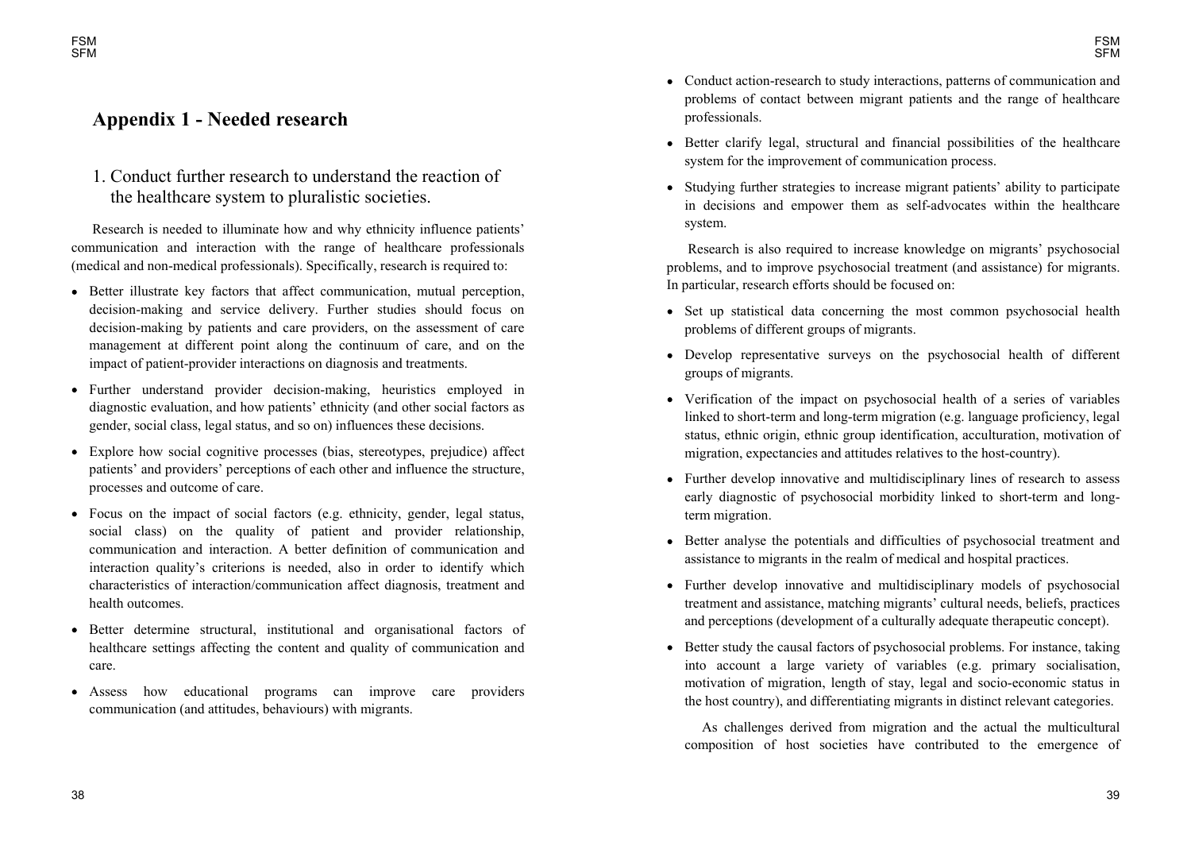# **Appendix 1 - Needed research**

FSMSFM

> 1. Conduct further research to understand the reaction of the healthcare system to pluralistic societies.

Research is needed to illuminate how and why ethnicity influence patients communication and interaction with the range of healthcare professionals (medical and non-medical professionals). Specifically, research is required to:

- Better illustrate key factors that affect communication, mutual perception, decision-making and service delivery. Further studies should focus on decision-making by patients and care providers, on the assessment of care management at different point along the continuum of care, and on the impact of patient-provider interactions on diagnosis and treatments.
- Further understand provider decision-making, heuristics employed in diagnostic evaluation, and how patients' ethnicity (and other social factors as gender, social class, legal status, and so on) influences these decisions.
- Explore how social cognitive processes (bias, stereotypes, prejudice) affect patients' and providers' perceptions of each other and influence the structure, processes and outcome of care.
- Focus on the impact of social factors (e.g. ethnicity, gender, legal status, social class) on the quality of patient and provider relationship, communication and interaction. A better definition of communication and interaction quality's criterions is needed, also in order to identify which characteristics of interaction/communication affect diagnosis, treatment and health outcomes.
- Better determine structural, institutional and organisational factors of  $\bullet$ healthcare settings affecting the content and quality of communication and care.
- Assess how educational programs can improve care providers communication (and attitudes, behaviours) with migrants.
- Conduct action-research to study interactions, patterns of communication and problems of contact between migrant patients and the range of healthcare professionals.
- Better clarify legal, structural and financial possibilities of the healthcare system for the improvement of communication process.
- Studying further strategies to increase migrant patients' ability to participate in decisions and empower them as self-advocates within the healthcare system.

Research is also required to increase knowledge on migrants' psychosocial problems, and to improve psychosocial treatment (and assistance) for migrants. In particular, research efforts should be focused on:

- Set up statistical data concerning the most common psychosocial health problems of different groups of migrants.
- Develop representative surveys on the psychosocial health of different groups of migrants.
- Verification of the impact on psychosocial health of a series of variables linked to short-term and long-term migration (e.g. language proficiency, legal status, ethnic origin, ethnic group identification, acculturation, motivation of migration, expectancies and attitudes relatives to the host-country).
- Further develop innovative and multidisciplinary lines of research to assess early diagnostic of psychosocial morbidity linked to short-term and longterm migration.
- Better analyse the potentials and difficulties of psychosocial treatment and assistance to migrants in the realm of medical and hospital practices.
- Further develop innovative and multidisciplinary models of psychosocial treatment and assistance, matching migrants' cultural needs, beliefs, practices and perceptions (development of a culturally adequate therapeutic concept).
- Better study the causal factors of psychosocial problems. For instance, taking into account a large variety of variables (e.g. primary socialisation, motivation of migration, length of stay, legal and socio-economic status in the host country), and differentiating migrants in distinct relevant categories.

As challenges derived from migration and the actual the multicultural composition of host societies have contributed to the emergence of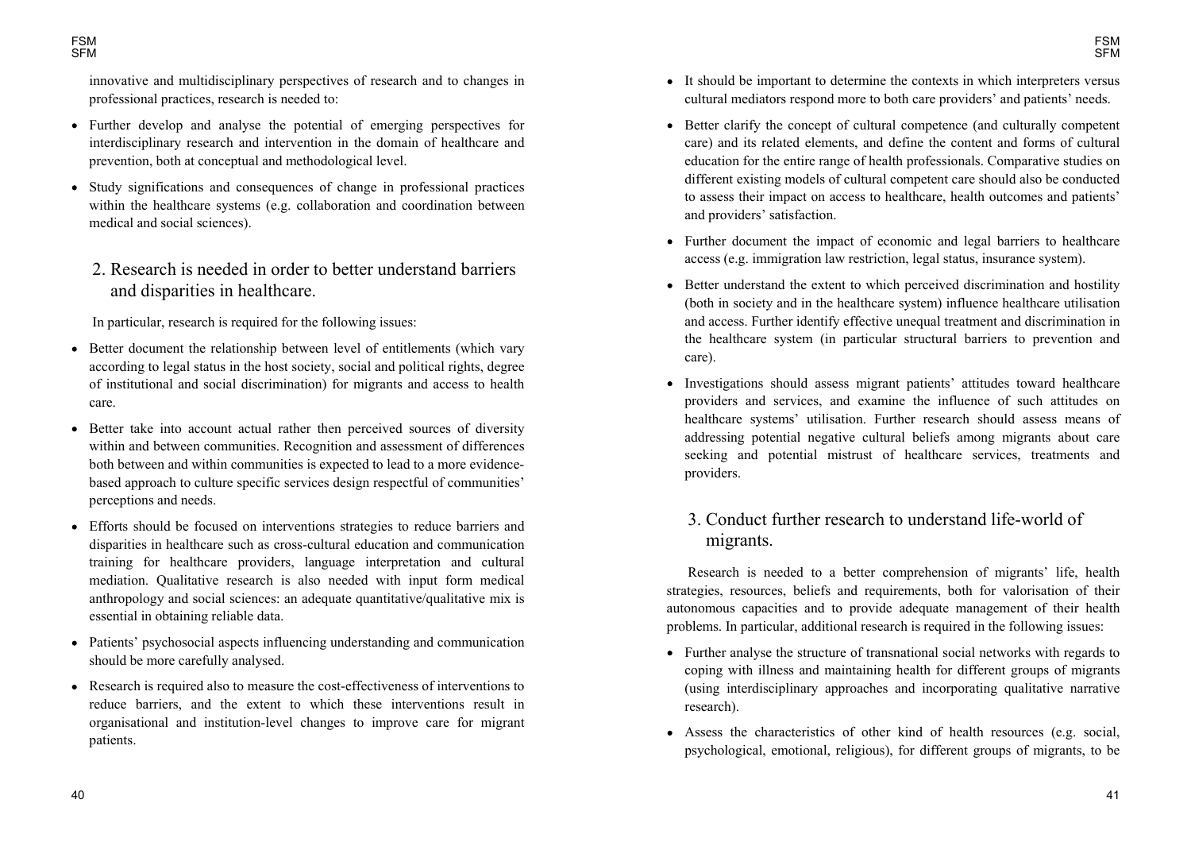innovative and multidisciplinary perspectives of research and to changes in professional practices, research is needed to:

- Further develop and analyse the potential of emerging perspectives for interdisciplinary research and intervention in the domain of healthcare and prevention, both at conceptual and methodological level.
- Study significations and consequences of change in professional practices within the healthcare systems (e.g. collaboration and coordination between medical and social sciences).
	- 2. Research is needed in order to better understand barriers and disparities in healthcare.

In particular, research is required for the following issues:

- Better document the relationship between level of entitlements (which vary  $\bullet$ according to legal status in the host society, social and political rights, degree of institutional and social discrimination) for migrants and access to health care.
- Better take into account actual rather then perceived sources of diversity within and between communities. Recognition and assessment of differences both between and within communities is expected to lead to a more evidencebased approach to culture specific services design respectful of communities perceptions and needs.
- Efforts should be focused on interventions strategies to reduce barriers and disparities in healthcare such as cross-cultural education and communication training for healthcare providers, language interpretation and cultural mediation. Qualitative research is also needed with input form medical anthropology and social sciences: an adequate quantitative/qualitative mix is essential in obtaining reliable data.
- Patients' psychosocial aspects influencing understanding and communication should be more carefully analysed.
- Research is required also to measure the cost-effectiveness of interventions to reduce barriers, and the extent to which these interventions result in organisational and institution-level changes to improve care for migrant patients.
- It should be important to determine the contexts in which interpreters versus cultural mediators respond more to both care providers' and patients' needs.
- Better clarify the concept of cultural competence (and culturally competent care) and its related elements, and define the content and forms of cultural education for the entire range of health professionals. Comparative studies on different existing models of cultural competent care should also be conducted to assess their impact on access to healthcare, health outcomes and patients' and providers' satisfaction.
- Further document the impact of economic and legal barriers to healthcare access (e.g. immigration law restriction, legal status, insurance system).
- Better understand the extent to which perceived discrimination and hostility (both in society and in the healthcare system) influence healthcare utilisation and access. Further identify effective unequal treatment and discrimination in the healthcare system (in particular structural barriers to prevention and care).
- Investigations should assess migrant patients' attitudes toward healthcare providers and services, and examine the influence of such attitudes on healthcare systems' utilisation. Further research should assess means of addressing potential negative cultural beliefs among migrants about care seeking and potential mistrust of healthcare services, treatments and providers.

# 3. Conduct further research to understand life-world of migrants.

Research is needed to a better comprehension of migrants' life, health strategies, resources, beliefs and requirements, both for valorisation of their autonomous capacities and to provide adequate management of their health problems. In particular, additional research is required in the following issues:

- Further analyse the structure of transnational social networks with regards to coping with illness and maintaining health for different groups of migrants (using interdisciplinary approaches and incorporating qualitative narrative research).
- Assess the characteristics of other kind of health resources (e.g. social, psychological, emotional, religious), for different groups of migrants, to be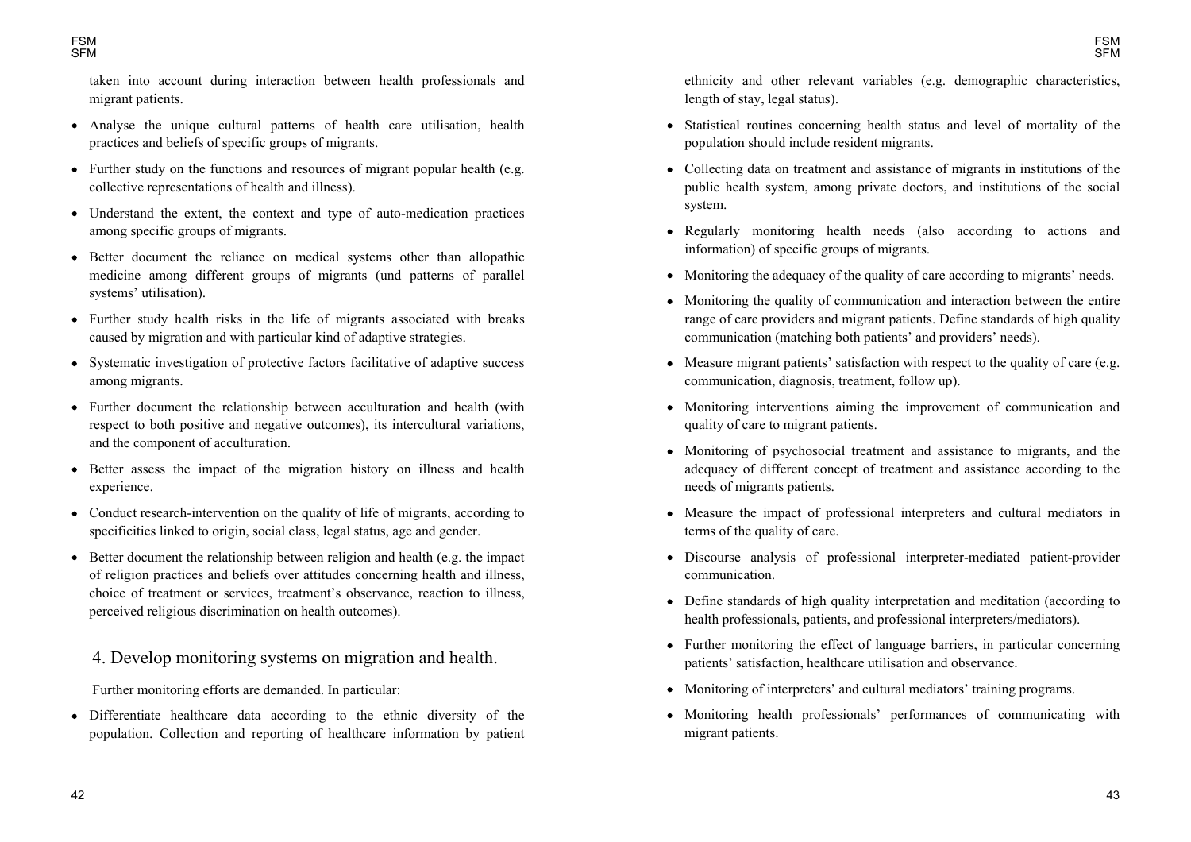taken into account during interaction between health professionals and migrant patients.

- Analyse the unique cultural patterns of health care utilisation, health practices and beliefs of specific groups of migrants.
- Further study on the functions and resources of migrant popular health (e.g. collective representations of health and illness).
- Understand the extent, the context and type of auto-medication practices among specific groups of migrants.
- Better document the reliance on medical systems other than allopathic medicine among different groups of migrants (und patterns of parallel systems' utilisation).
- Further study health risks in the life of migrants associated with breaks caused by migration and with particular kind of adaptive strategies.
- Systematic investigation of protective factors facilitative of adaptive success among migrants.
- Further document the relationship between acculturation and health (with respect to both positive and negative outcomes), its intercultural variations, and the component of acculturation.
- Better assess the impact of the migration history on illness and health experience.
- Conduct research-intervention on the quality of life of migrants, according to specificities linked to origin, social class, legal status, age and gender.
- Better document the relationship between religion and health (e.g. the impact of religion practices and beliefs over attitudes concerning health and illness, choice of treatment or services, treatment's observance, reaction to illness, perceived religious discrimination on health outcomes).

# 4. Develop monitoring systems on migration and health.

Further monitoring efforts are demanded. In particular:

Differentiate healthcare data according to the ethnic diversity of the  $\bullet$ population. Collection and reporting of healthcare information by patient ethnicity and other relevant variables (e.g. demographic characteristics, length of stay, legal status).

- Statistical routines concerning health status and level of mortality of the population should include resident migrants.
- Collecting data on treatment and assistance of migrants in institutions of the public health system, among private doctors, and institutions of the social system.
- Regularly monitoring health needs (also according to actions and information) of specific groups of migrants.
- Monitoring the adequacy of the quality of care according to migrants' needs.
- Monitoring the quality of communication and interaction between the entire range of care providers and migrant patients. Define standards of high quality communication (matching both patients' and providers' needs).
- $\bullet$  Measure migrant patients' satisfaction with respect to the quality of care (e.g. communication, diagnosis, treatment, follow up).
- Monitoring interventions aiming the improvement of communication and quality of care to migrant patients.
- Monitoring of psychosocial treatment and assistance to migrants, and the adequacy of different concept of treatment and assistance according to the needs of migrants patients.
- Measure the impact of professional interpreters and cultural mediators in terms of the quality of care.
- Discourse analysis of professional interpreter-mediated patient-provider communication.
- Define standards of high quality interpretation and meditation (according to health professionals, patients, and professional interpreters/mediators).
- Further monitoring the effect of language barriers, in particular concerning patients' satisfaction, healthcare utilisation and observance.
- Monitoring of interpreters' and cultural mediators' training programs.
- Monitoring health professionals' performances of communicating with migrant patients.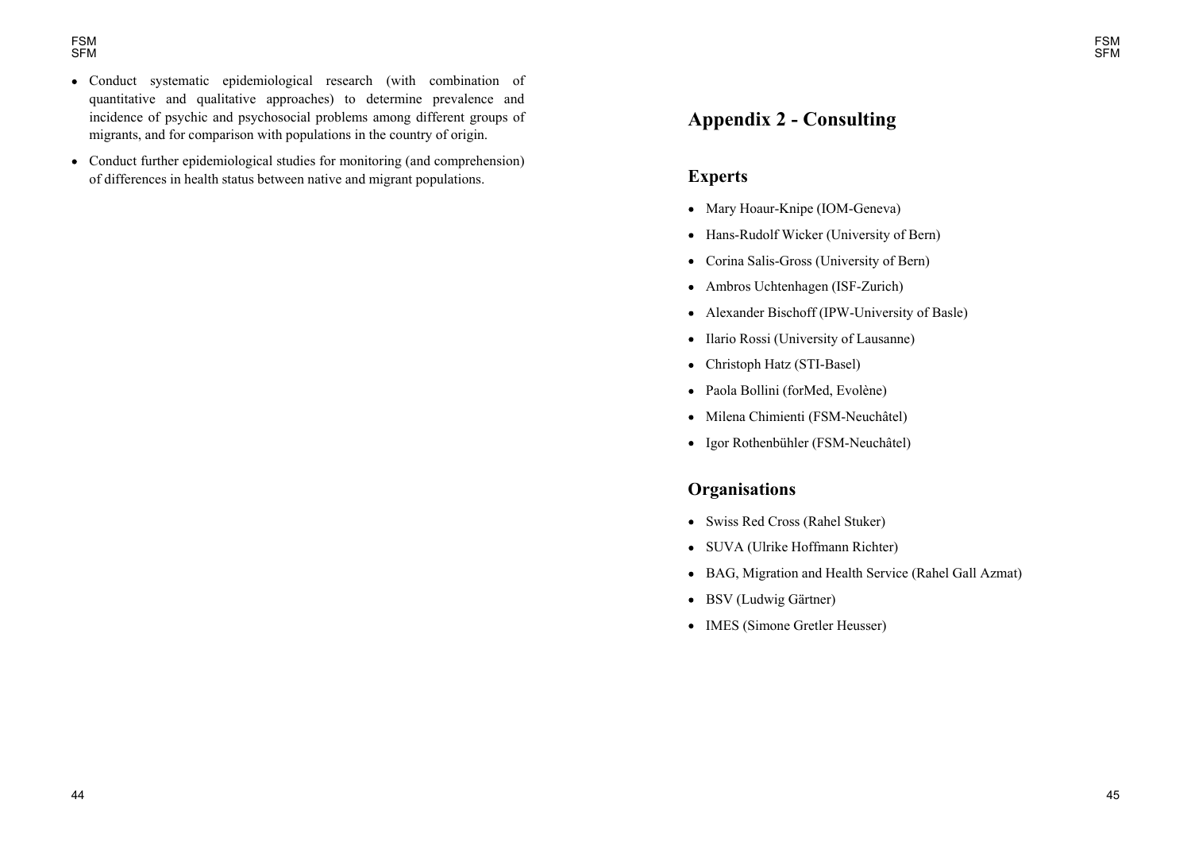- Conduct systematic epidemiological research (with combination of quantitative and qualitative approaches) to determine prevalence and incidence of psychic and psychosocial problems among different groups of migrants, and for comparison with populations in the country of origin.
- Conduct further epidemiological studies for monitoring (and comprehension) of differences in health status between native and migrant populations.

# **Appendix 2 - Consulting**

### **Experts**

- Mary Hoaur-Knipe (IOM-Geneva)
- Hans-Rudolf Wicker (University of Bern)
- Corina Salis-Gross (University of Bern)
- Ambros Uchtenhagen (ISF-Zurich)
- Alexander Bischoff (IPW-University of Basle)
- Ilario Rossi (University of Lausanne)
- Christoph Hatz (STI-Basel)
- Paola Bollini (forMed, Evolène)
- $\bullet$  Milena Chimienti (FSM-Neuchâtel)
- Igor Rothenbühler (FSM-Neuchâtel)

# **Organisations**

- Swiss Red Cross (Rahel Stuker)
- SUVA (Ulrike Hoffmann Richter)
- BAG, Migration and Health Service (Rahel Gall Azmat)
- BSV (Ludwig Gärtner)
- IMES (Simone Gretler Heusser)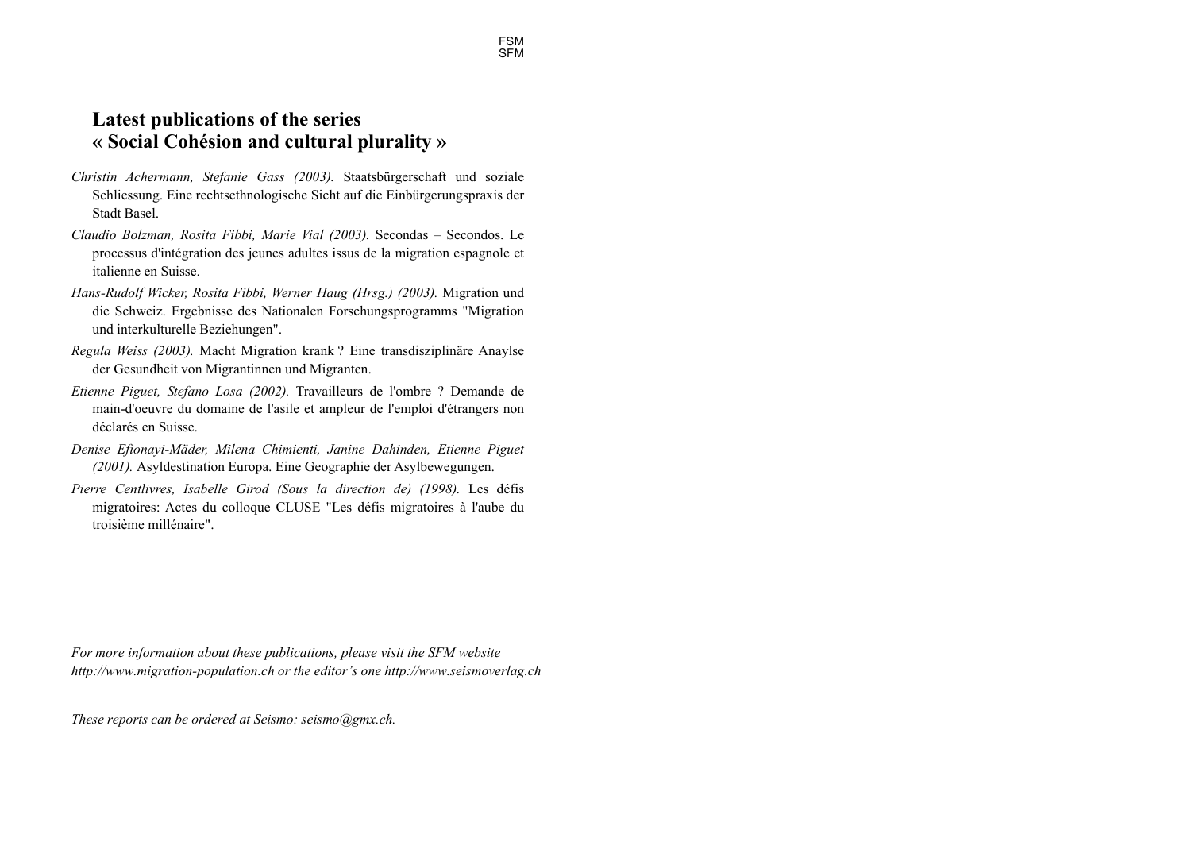# **Latest publications of the series « Social Cohésion and cultural plurality »**

- *Christin Achermann, Stefanie Gass (2003).* Staatsbürgerschaft und soziale Schliessung. Eine rechtsethnologische Sicht auf die Einbürgerungspraxis der Stadt Basel.
- *Claudio Bolzman, Rosita Fibbi, Marie Vial (2003).* Secondas Secondos. Le processus d'intégration des jeunes adultes issus de la migration espagnole et italienne en Suisse.
- *Hans-Rudolf Wicker, Rosita Fibbi, Werner Haug (Hrsg.) (2003).* Migration und die Schweiz. Ergebnisse des Nationalen Forschungsprogramms "Migration und interkulturelle Beziehungen".
- *Regula Weiss (2003).* Macht Migration krank ? Eine transdisziplinäre Anaylse der Gesundheit von Migrantinnen und Migranten.
- *Etienne Piguet, Stefano Losa (2002).* Travailleurs de l'ombre ? Demande de main-d'oeuvre du domaine de l'asile et ampleur de l'emploi d'étrangers non déclarés en Suisse.
- *Denise Efionayi-Mäder, Milena Chimienti, Janine Dahinden, Etienne Piguet (2001).* Asyldestination Europa. Eine Geographie der Asylbewegungen.
- *Pierre Centlivres, Isabelle Girod (Sous la direction de) (1998).* Les défis migratoires: Actes du colloque CLUSE "Les défis migratoires à l'aube du troisième millénaire".

*For more information about these publications, please visit the SFM website http://www.migration-population.ch or the editors one http://www.seismoverlag.ch* 

*These reports can be ordered at Seismo: seismo@gmx.ch.*